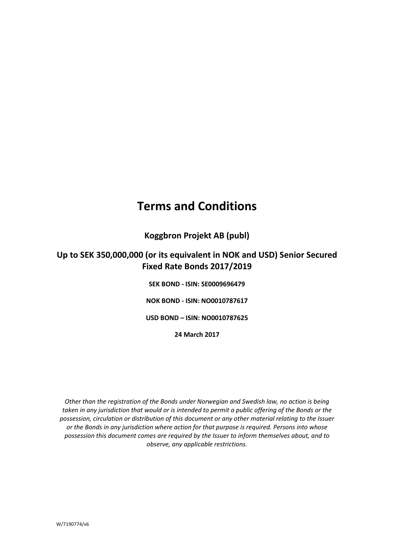# **Terms and Conditions**

**Koggbron Projekt AB (publ)**

# **Up to SEK 350,000,000 (or its equivalent in NOK and USD) Senior Secured Fixed Rate Bonds 2017/2019**

**SEK BOND - ISIN: SE0009696479 NOK BOND - ISIN: NO0010787617 USD BOND – ISIN: NO0010787625 24 March 2017**

*Other than the registration of the Bonds under Norwegian and Swedish law, no action is being taken in any jurisdiction that would or is intended to permit a public offering of the Bonds or the possession, circulation or distribution of this document or any other material relating to the Issuer or the Bonds in any jurisdiction where action for that purpose is required. Persons into whose possession this document comes are required by the Issuer to inform themselves about, and to observe, any applicable restrictions.*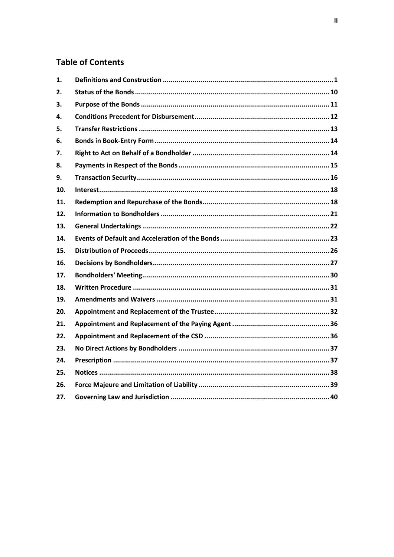# **Table of Contents**

| 1.  |  |
|-----|--|
| 2.  |  |
| З.  |  |
| 4.  |  |
| 5.  |  |
| 6.  |  |
| 7.  |  |
| 8.  |  |
| 9.  |  |
| 10. |  |
| 11. |  |
| 12. |  |
| 13. |  |
| 14. |  |
| 15. |  |
| 16. |  |
| 17. |  |
| 18. |  |
| 19. |  |
| 20. |  |
| 21. |  |
| 22. |  |
| 23. |  |
| 24. |  |
| 25. |  |
| 26. |  |
| 27. |  |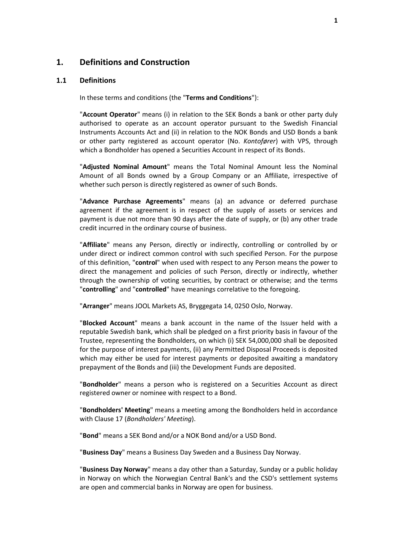### <span id="page-2-0"></span>**1. Definitions and Construction**

#### <span id="page-2-1"></span>**1.1 Definitions**

In these terms and conditions (the "**Terms and Conditions**"):

"**Account Operator**" means (i) in relation to the SEK Bonds a bank or other party duly authorised to operate as an account operator pursuant to the Swedish Financial Instruments Accounts Act and (ii) in relation to the NOK Bonds and USD Bonds a bank or other party registered as account operator (No. *Kontofører*) with VPS, through which a Bondholder has opened a Securities Account in respect of its Bonds.

"**Adjusted Nominal Amount**" means the Total Nominal Amount less the Nominal Amount of all Bonds owned by a Group Company or an Affiliate, irrespective of whether such person is directly registered as owner of such Bonds.

"**Advance Purchase Agreements**" means (a) an advance or deferred purchase agreement if the agreement is in respect of the supply of assets or services and payment is due not more than 90 days after the date of supply, or (b) any other trade credit incurred in the ordinary course of business.

"**Affiliate**" means any Person, directly or indirectly, controlling or controlled by or under direct or indirect common control with such specified Person. For the purpose of this definition, "**control**" when used with respect to any Person means the power to direct the management and policies of such Person, directly or indirectly, whether through the ownership of voting securities, by contract or otherwise; and the terms "**controlling**" and "**controlled**" have meanings correlative to the foregoing.

"**Arranger**" means JOOL Markets AS, Bryggegata 14, 0250 Oslo, Norway.

"**Blocked Account**" means a bank account in the name of the Issuer held with a reputable Swedish bank, which shall be pledged on a first priority basis in favour of the Trustee, representing the Bondholders, on which (i) SEK 54,000,000 shall be deposited for the purpose of interest payments, (ii) any Permitted Disposal Proceeds is deposited which may either be used for interest payments or deposited awaiting a mandatory prepayment of the Bonds and (iii) the Development Funds are deposited.

"**Bondholder**" means a person who is registered on a Securities Account as direct registered owner or nominee with respect to a Bond.

"**Bondholders' Meeting**" means a meeting among the Bondholders held in accordance with Clause [17](#page-31-0) (*[Bondholders'](#page-31-0) Meeting*).

"**Bond**" means a SEK Bond and/or a NOK Bond and/or a USD Bond.

"**Business Day**" means a Business Day Sweden and a Business Day Norway.

"**Business Day Norway**" means a day other than a Saturday, Sunday or a public holiday in Norway on which the Norwegian Central Bank's and the CSD's settlement systems are open and commercial banks in Norway are open for business.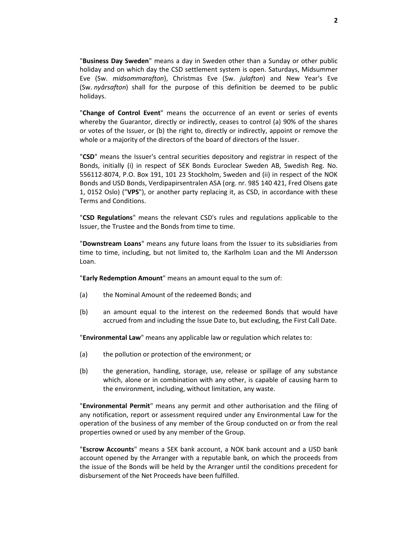"**Business Day Sweden**" means a day in Sweden other than a Sunday or other public holiday and on which day the CSD settlement system is open. Saturdays, Midsummer Eve (Sw. *midsommarafton*), Christmas Eve (Sw. *julafton*) and New Year's Eve (Sw. *nyårsafton*) shall for the purpose of this definition be deemed to be public holidays.

"**Change of Control Event**" means the occurrence of an event or series of events whereby the Guarantor, directly or indirectly, ceases to control (a) 90% of the shares or votes of the Issuer, or (b) the right to, directly or indirectly, appoint or remove the whole or a majority of the directors of the board of directors of the Issuer.

"**CSD**" means the Issuer's central securities depository and registrar in respect of the Bonds, initially (i) in respect of SEK Bonds Euroclear Sweden AB, Swedish Reg. No. 556112-8074, P.O. Box 191, 101 23 Stockholm, Sweden and (ii) in respect of the NOK Bonds and USD Bonds, Verdipapirsentralen ASA (org. nr. 985 140 421, Fred Olsens gate 1, 0152 Oslo) ("**VPS**"), or another party replacing it, as CSD, in accordance with these Terms and Conditions.

"**CSD Regulations**" means the relevant CSD's rules and regulations applicable to the Issuer, the Trustee and the Bonds from time to time.

"**Downstream Loans**" means any future loans from the Issuer to its subsidiaries from time to time, including, but not limited to, the Karlholm Loan and the MI Andersson Loan.

"**Early Redemption Amount**" means an amount equal to the sum of:

- (a) the Nominal Amount of the redeemed Bonds; and
- (b) an amount equal to the interest on the redeemed Bonds that would have accrued from and including the Issue Date to, but excluding, the First Call Date.

"**Environmental Law**" means any applicable law or regulation which relates to:

- (a) the pollution or protection of the environment; or
- (b) the generation, handling, storage, use, release or spillage of any substance which, alone or in combination with any other, is capable of causing harm to the environment, including, without limitation, any waste.

"**Environmental Permit**" means any permit and other authorisation and the filing of any notification, report or assessment required under any Environmental Law for the operation of the business of any member of the Group conducted on or from the real properties owned or used by any member of the Group.

"**Escrow Accounts**" means a SEK bank account, a NOK bank account and a USD bank account opened by the Arranger with a reputable bank, on which the proceeds from the issue of the Bonds will be held by the Arranger until the conditions precedent for disbursement of the Net Proceeds have been fulfilled.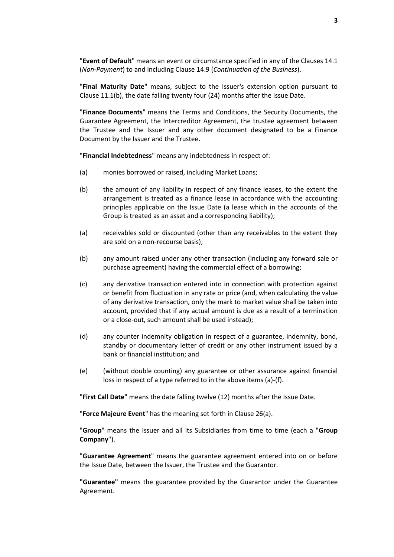"**Event of Default**" means an event or circumstance specified in any of the Clauses [14.1](#page-24-1) (*[Non-Payment](#page-24-1)*) to and including Clause [14.9](#page-26-0) (*[Continuation of the Business](#page-26-0)*).

"**Final Maturity Date**" means, subject to the Issuer's extension option pursuant to Clause [11.1\(b\),](#page-19-2) the date falling twenty four (24) months after the Issue Date.

"**Finance Documents**" means the Terms and Conditions, the Security Documents, the Guarantee Agreement, the Intercreditor Agreement, the trustee agreement between the Trustee and the Issuer and any other document designated to be a Finance Document by the Issuer and the Trustee.

"**Financial Indebtedness**" means any indebtedness in respect of:

- (a) monies borrowed or raised, including Market Loans;
- (b) the amount of any liability in respect of any finance leases, to the extent the arrangement is treated as a finance lease in accordance with the accounting principles applicable on the Issue Date (a lease which in the accounts of the Group is treated as an asset and a corresponding liability);
- (a) receivables sold or discounted (other than any receivables to the extent they are sold on a non-recourse basis);
- (b) any amount raised under any other transaction (including any forward sale or purchase agreement) having the commercial effect of a borrowing;
- (c) any derivative transaction entered into in connection with protection against or benefit from fluctuation in any rate or price (and, when calculating the value of any derivative transaction, only the mark to market value shall be taken into account, provided that if any actual amount is due as a result of a termination or a close-out, such amount shall be used instead);
- (d) any counter indemnity obligation in respect of a guarantee, indemnity, bond, standby or documentary letter of credit or any other instrument issued by a bank or financial institution; and
- (e) (without double counting) any guarantee or other assurance against financial loss in respect of a type referred to in the above items (a)-(f).

"**First Call Date**" means the date falling twelve (12) months after the Issue Date.

"**Force Majeure Event**" has the meaning set forth in Clause [26\(a\).](#page-40-1)

"**Group**" means the Issuer and all its Subsidiaries from time to time (each a "**Group Company**").

"**Guarantee Agreement**" means the guarantee agreement entered into on or before the Issue Date, between the Issuer, the Trustee and the Guarantor.

**"Guarantee"** means the guarantee provided by the Guarantor under the Guarantee Agreement.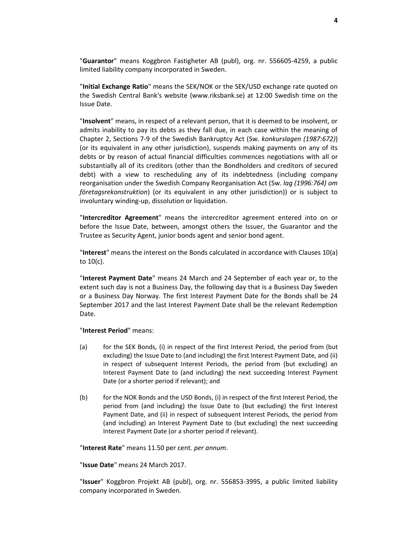"**Guarantor**" means Koggbron Fastigheter AB (publ), org. nr. 556605-4259, a public limited liability company incorporated in Sweden.

"**Initial Exchange Ratio**" means the SEK/NOK or the SEK/USD exchange rate quoted on the Swedish Central Bank's website (www.riksbank.se) at 12:00 Swedish time on the Issue Date.

"**Insolvent**" means, in respect of a relevant person, that it is deemed to be insolvent, or admits inability to pay its debts as they fall due, in each case within the meaning of Chapter 2, Sections 7-9 of the Swedish Bankruptcy Act (Sw. *konkurslagen (1987:672)*) (or its equivalent in any other jurisdiction), suspends making payments on any of its debts or by reason of actual financial difficulties commences negotiations with all or substantially all of its creditors (other than the Bondholders and creditors of secured debt) with a view to rescheduling any of its indebtedness (including company reorganisation under the Swedish Company Reorganisation Act (Sw. *lag (1996:764) om företagsrekonstruktion*) (or its equivalent in any other jurisdiction)) or is subject to involuntary winding-up, dissolution or liquidation.

"**Intercreditor Agreement**" means the intercreditor agreement entered into on or before the Issue Date, between, amongst others the Issuer, the Guarantor and the Trustee as Security Agent, junior bonds agent and senior bond agent.

"**Interest**" means the interest on the Bonds calculated in accordance with Clauses [10\(a\)](#page-19-3) t[o 10\(c\).](#page-19-4)

"**Interest Payment Date**" means 24 March and 24 September of each year or, to the extent such day is not a Business Day, the following day that is a Business Day Sweden or a Business Day Norway. The first Interest Payment Date for the Bonds shall be 24 September 2017 and the last Interest Payment Date shall be the relevant Redemption Date.

#### "**Interest Period**" means:

- (a) for the SEK Bonds, (i) in respect of the first Interest Period, the period from (but excluding) the Issue Date to (and including) the first Interest Payment Date, and (ii) in respect of subsequent Interest Periods, the period from (but excluding) an Interest Payment Date to (and including) the next succeeding Interest Payment Date (or a shorter period if relevant); and
- (b) for the NOK Bonds and the USD Bonds, (i) in respect of the first Interest Period, the period from (and including) the Issue Date to (but excluding) the first Interest Payment Date, and (ii) in respect of subsequent Interest Periods, the period from (and including) an Interest Payment Date to (but excluding) the next succeeding Interest Payment Date (or a shorter period if relevant).

"**Interest Rate**" means 11.50 per cent. *per annum*.

"**Issue Date**" means 24 March 2017.

"**Issuer**" Koggbron Projekt AB (publ), org. nr. 556853-3995, a public limited liability company incorporated in Sweden.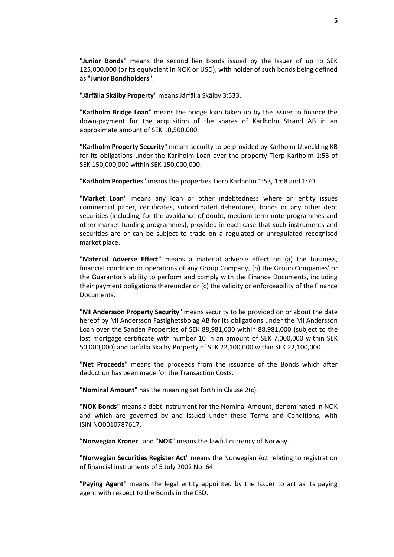"**Junior Bonds**" means the second lien bonds issued by the Issuer of up to SEK 125,000,000 (or its equivalent in NOK or USD), with holder of such bonds being defined as "**Junior Bondholders**".

"**Järfälla Skälby Property**" means Järfälla Skälby 3:533.

"**Karlholm Bridge Loan**" means the bridge loan taken up by the Issuer to finance the down-payment for the acquisition of the shares of Karlholm Strand AB in an approximate amount of SEK 10,500,000.

"**Karlholm Property Security**" means security to be provided by Karlholm Utveckling KB for its obligations under the Karlholm Loan over the property Tierp Karlholm 1:53 of SEK 150,000,000 within SEK 150,000,000.

"**Karlholm Properties**" means the properties Tierp Karlholm 1:53, 1:68 and 1:70

"**Market Loan**" means any loan or other indebtedness where an entity issues commercial paper, certificates, subordinated debentures, bonds or any other debt securities (including, for the avoidance of doubt, medium term note programmes and other market funding programmes), provided in each case that such instruments and securities are or can be subject to trade on a regulated or unregulated recognised market place.

"**Material Adverse Effect**" means a material adverse effect on (a) the business, financial condition or operations of any Group Company, (b) the Group Companies' or the Guarantor's ability to perform and comply with the Finance Documents, including their payment obligations thereunder or (c) the validity or enforceability of the Finance Documents.

"**MI Andersson Property Security**" means security to be provided on or about the date hereof by MI Andersson Fastighetsbolag AB for its obligations under the MI Andersson Loan over the Sanden Properties of SEK 88,981,000 within 88,981,000 (subject to the lost mortgage certificate with number 10 in an amount of SEK 7,000,000 within SEK 50,000,000) and Järfälla Skälby Property of SEK 22,100,000 within SEK 22,100,000.

"**Net Proceeds**" means the proceeds from the issuance of the Bonds which after deduction has been made for the Transaction Costs.

"**Nominal Amount**" has the meaning set forth in Clause [2\(c\).](#page-11-1)

"**NOK Bonds**" means a debt instrument for the Nominal Amount, denominated in NOK and which are governed by and issued under these Terms and Conditions, with ISIN NO0010787617.

"**Norwegian Kroner**" and "**NOK**" means the lawful currency of Norway.

"**Norwegian Securities Register Act**" means the Norwegian Act relating to registration of financial instruments of 5 July 2002 No. 64.

"**Paying Agent**" means the legal entity appointed by the Issuer to act as its paying agent with respect to the Bonds in the CSD.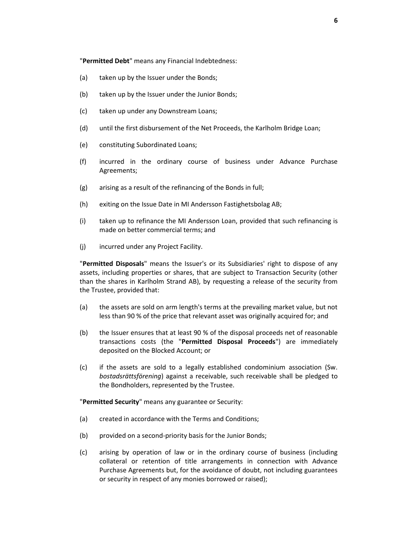"**Permitted Debt**" means any Financial Indebtedness:

- (a) taken up by the Issuer under the Bonds;
- (b) taken up by the Issuer under the Junior Bonds;
- (c) taken up under any Downstream Loans;
- (d) until the first disbursement of the Net Proceeds, the Karlholm Bridge Loan;
- (e) constituting Subordinated Loans;
- (f) incurred in the ordinary course of business under Advance Purchase Agreements;
- (g) arising as a result of the refinancing of the Bonds in full;
- (h) exiting on the Issue Date in MI Andersson Fastighetsbolag AB;
- (i) taken up to refinance the MI Andersson Loan, provided that such refinancing is made on better commercial terms; and
- (j) incurred under any Project Facility.

"**Permitted Disposals**" means the Issuer's or its Subsidiaries' right to dispose of any assets, including properties or shares, that are subject to Transaction Security (other than the shares in Karlholm Strand AB), by requesting a release of the security from the Trustee, provided that:

- (a) the assets are sold on arm length's terms at the prevailing market value, but not less than 90 % of the price that relevant asset was originally acquired for; and
- (b) the Issuer ensures that at least 90 % of the disposal proceeds net of reasonable transactions costs (the "**Permitted Disposal Proceeds**") are immediately deposited on the Blocked Account; or
- (c) if the assets are sold to a legally established condominium association (Sw. *bostadsrättsförening*) against a receivable, such receivable shall be pledged to the Bondholders, represented by the Trustee.

"**Permitted Security**" means any guarantee or Security:

- (a) created in accordance with the Terms and Conditions;
- (b) provided on a second-priority basis for the Junior Bonds;
- (c) arising by operation of law or in the ordinary course of business (including collateral or retention of title arrangements in connection with Advance Purchase Agreements but, for the avoidance of doubt, not including guarantees or security in respect of any monies borrowed or raised);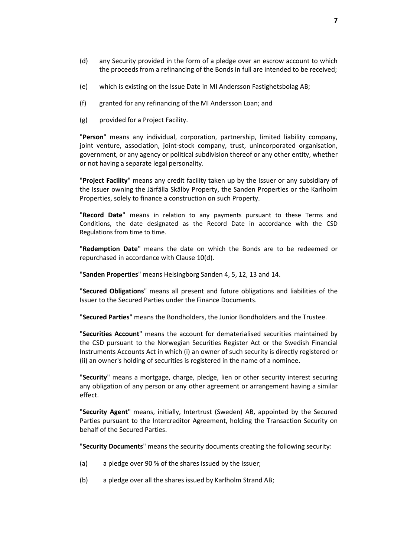- (d) any Security provided in the form of a pledge over an escrow account to which the proceeds from a refinancing of the Bonds in full are intended to be received;
- (e) which is existing on the Issue Date in MI Andersson Fastighetsbolag AB;
- (f) granted for any refinancing of the MI Andersson Loan; and
- (g) provided for a Project Facility.

"**Person**" means any individual, corporation, partnership, limited liability company, joint venture, association, joint-stock company, trust, unincorporated organisation, government, or any agency or political subdivision thereof or any other entity, whether or not having a separate legal personality.

"**Project Facility**" means any credit facility taken up by the Issuer or any subsidiary of the Issuer owning the Järfälla Skälby Property, the Sanden Properties or the Karlholm Properties, solely to finance a construction on such Property.

"**Record Date**" means in relation to any payments pursuant to these Terms and Conditions, the date designated as the Record Date in accordance with the CSD Regulations from time to time.

"**Redemption Date**" means the date on which the Bonds are to be redeemed or repurchased in accordance with Clause [10\(d\).](#page-19-5)

"**Sanden Properties**" means Helsingborg Sanden 4, 5, 12, 13 and 14.

"**Secured Obligations**" means all present and future obligations and liabilities of the Issuer to the Secured Parties under the Finance Documents.

"**Secured Parties**" means the Bondholders, the Junior Bondholders and the Trustee.

"**Securities Account**" means the account for dematerialised securities maintained by the CSD pursuant to the Norwegian Securities Register Act or the Swedish Financial Instruments Accounts Act in which (i) an owner of such security is directly registered or (ii) an owner's holding of securities is registered in the name of a nominee.

"**Security**" means a mortgage, charge, pledge, lien or other security interest securing any obligation of any person or any other agreement or arrangement having a similar effect.

"**Security Agent**" means, initially, Intertrust (Sweden) AB, appointed by the Secured Parties pursuant to the Intercreditor Agreement, holding the Transaction Security on behalf of the Secured Parties.

"**Security Documents**" means the security documents creating the following security:

- (a) a pledge over 90 % of the shares issued by the Issuer;
- (b) a pledge over all the shares issued by Karlholm Strand AB;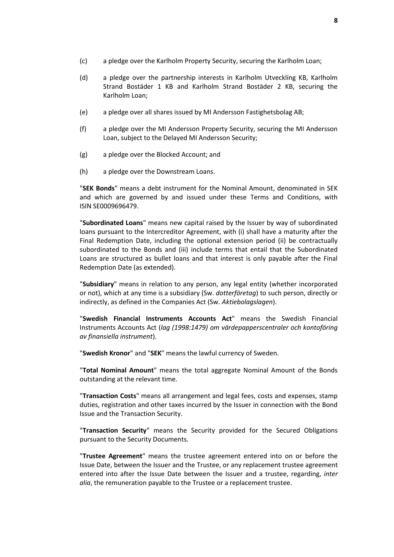- (c) a pledge over the Karlholm Property Security, securing the Karlholm Loan;
- (d) a pledge over the partnership interests in Karlholm Utveckling KB, Karlholm Strand Bostäder 1 KB and Karlholm Strand Bostäder 2 KB, securing the Karlholm Loan;
- (e) a pledge over all shares issued by MI Andersson Fastighetsbolag AB;
- (f) a pledge over the MI Andersson Property Security, securing the MI Andersson Loan, subject to the Delayed MI Andersson Security;
- (g) a pledge over the Blocked Account; and
- (h) a pledge over the Downstream Loans.

"**SEK Bonds**" means a debt instrument for the Nominal Amount, denominated in SEK and which are governed by and issued under these Terms and Conditions, with ISIN SE0009696479.

"**Subordinated Loans**" means new capital raised by the Issuer by way of subordinated loans pursuant to the Intercreditor Agreement, with (i) shall have a maturity after the Final Redemption Date, including the optional extension period (ii) be contractually subordinated to the Bonds and (iii) include terms that entail that the Subordinated Loans are structured as bullet loans and that interest is only payable after the Final Redemption Date (as extended).

"**Subsidiary**" means in relation to any person, any legal entity (whether incorporated or not), which at any time is a subsidiary (Sw. *dotterföretag*) to such person, directly or indirectly, as defined in the Companies Act (Sw. *Aktiebolagslagen*).

"**Swedish Financial Instruments Accounts Act**" means the Swedish Financial Instruments Accounts Act (*lag (1998:1479) om värdepapperscentraler och kontoföring av finansiella instrument*).

"**Swedish Kronor**" and "**SEK**" means the lawful currency of Sweden.

"**Total Nominal Amount**" means the total aggregate Nominal Amount of the Bonds outstanding at the relevant time.

"**Transaction Costs**" means all arrangement and legal fees, costs and expenses, stamp duties, registration and other taxes incurred by the Issuer in connection with the Bond Issue and the Transaction Security.

"**Transaction Security**" means the Security provided for the Secured Obligations pursuant to the Security Documents.

"**Trustee Agreement**" means the trustee agreement entered into on or before the Issue Date, between the Issuer and the Trustee, or any replacement trustee agreement entered into after the Issue Date between the Issuer and a trustee, regarding, *inter alia*, the remuneration payable to the Trustee or a replacement trustee.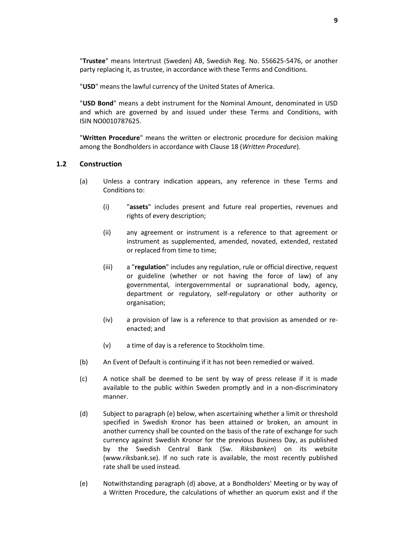"**Trustee**" means Intertrust (Sweden) AB, Swedish Reg. No. 556625-5476, or another party replacing it, as trustee, in accordance with these Terms and Conditions.

"**USD**" means the lawful currency of the United States of America.

"**USD Bond**" means a debt instrument for the Nominal Amount, denominated in USD and which are governed by and issued under these Terms and Conditions, with ISIN NO0010787625.

"**Written Procedure**" means the written or electronic procedure for decision making among the Bondholders in accordance with Clause [18](#page-32-0) (*[Written Procedure](#page-32-0)*).

#### **1.2 Construction**

- (a) Unless a contrary indication appears, any reference in these Terms and Conditions to:
	- (i) "**assets**" includes present and future real properties, revenues and rights of every description;
	- (ii) any agreement or instrument is a reference to that agreement or instrument as supplemented, amended, novated, extended, restated or replaced from time to time;
	- (iii) a "**regulation**" includes any regulation, rule or official directive, request or guideline (whether or not having the force of law) of any governmental, intergovernmental or supranational body, agency, department or regulatory, self-regulatory or other authority or organisation;
	- (iv) a provision of law is a reference to that provision as amended or reenacted; and
	- (v) a time of day is a reference to Stockholm time.
- (b) An Event of Default is continuing if it has not been remedied or waived.
- (c) A notice shall be deemed to be sent by way of press release if it is made available to the public within Sweden promptly and in a non-discriminatory manner.
- (d) Subject to paragraph (e) below, when ascertaining whether a limit or threshold specified in Swedish Kronor has been attained or broken, an amount in another currency shall be counted on the basis of the rate of exchange for such currency against Swedish Kronor for the previous Business Day, as published by the Swedish Central Bank (Sw. *Riksbanken*) on its website (www.riksbank.se). If no such rate is available, the most recently published rate shall be used instead.
- (e) Notwithstanding paragraph (d) above, at a Bondholders' Meeting or by way of a Written Procedure, the calculations of whether an quorum exist and if the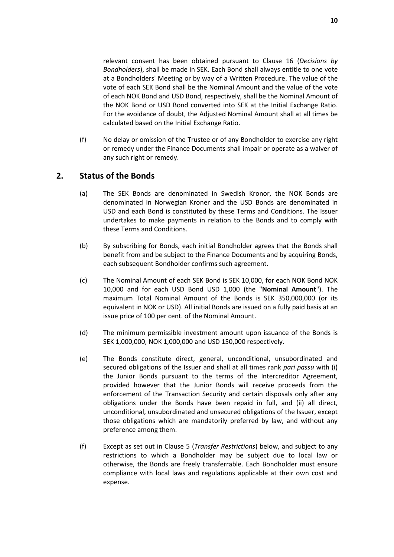relevant consent has been obtained pursuant to Clause [16](#page-28-0) (*Decisions by Bondholders*), shall be made in SEK. Each Bond shall always entitle to one vote at a Bondholders' Meeting or by way of a Written Procedure. The value of the vote of each SEK Bond shall be the Nominal Amount and the value of the vote of each NOK Bond and USD Bond, respectively, shall be the Nominal Amount of the NOK Bond or USD Bond converted into SEK at the Initial Exchange Ratio. For the avoidance of doubt, the Adjusted Nominal Amount shall at all times be calculated based on the Initial Exchange Ratio.

(f) No delay or omission of the Trustee or of any Bondholder to exercise any right or remedy under the Finance Documents shall impair or operate as a waiver of any such right or remedy.

# <span id="page-11-2"></span><span id="page-11-0"></span>**2. Status of the Bonds**

- (a) The SEK Bonds are denominated in Swedish Kronor, the NOK Bonds are denominated in Norwegian Kroner and the USD Bonds are denominated in USD and each Bond is constituted by these Terms and Conditions. The Issuer undertakes to make payments in relation to the Bonds and to comply with these Terms and Conditions.
- (b) By subscribing for Bonds, each initial Bondholder agrees that the Bonds shall benefit from and be subject to the Finance Documents and by acquiring Bonds, each subsequent Bondholder confirms such agreement.
- <span id="page-11-1"></span>(c) The Nominal Amount of each SEK Bond is SEK 10,000, for each NOK Bond NOK 10,000 and for each USD Bond USD 1,000 (the "**Nominal Amount**"). The maximum Total Nominal Amount of the Bonds is SEK 350,000,000 (or its equivalent in NOK or USD). All initial Bonds are issued on a fully paid basis at an issue price of 100 per cent. of the Nominal Amount.
- (d) The minimum permissible investment amount upon issuance of the Bonds is SEK 1,000,000, NOK 1,000,000 and USD 150,000 respectively.
- <span id="page-11-3"></span>(e) The Bonds constitute direct, general, unconditional, unsubordinated and secured obligations of the Issuer and shall at all times rank *pari passu* with (i) the Junior Bonds pursuant to the terms of the Intercreditor Agreement, provided however that the Junior Bonds will receive proceeds from the enforcement of the Transaction Security and certain disposals only after any obligations under the Bonds have been repaid in full, and (ii) all direct, unconditional, unsubordinated and unsecured obligations of the Issuer, except those obligations which are mandatorily preferred by law, and without any preference among them.
- (f) Except as set out in Clause [5](#page-14-0) (*Transfer [Restrictions](#page-14-0)*) below, and subject to any restrictions to which a Bondholder may be subject due to local law or otherwise, the Bonds are freely transferrable. Each Bondholder must ensure compliance with local laws and regulations applicable at their own cost and expense.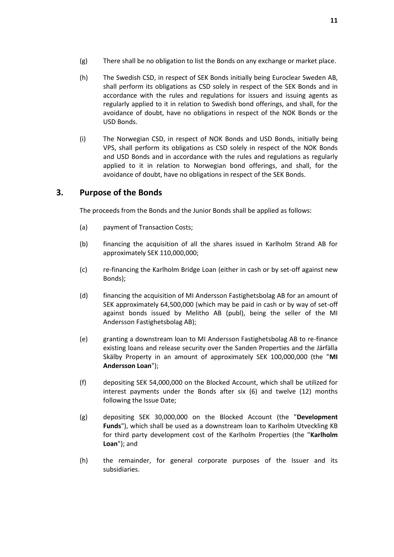- (g) There shall be no obligation to list the Bonds on any exchange or market place.
- (h) The Swedish CSD, in respect of SEK Bonds initially being Euroclear Sweden AB, shall perform its obligations as CSD solely in respect of the SEK Bonds and in accordance with the rules and regulations for issuers and issuing agents as regularly applied to it in relation to Swedish bond offerings, and shall, for the avoidance of doubt, have no obligations in respect of the NOK Bonds or the USD Bonds.
- (i) The Norwegian CSD, in respect of NOK Bonds and USD Bonds, initially being VPS, shall perform its obligations as CSD solely in respect of the NOK Bonds and USD Bonds and in accordance with the rules and regulations as regularly applied to it in relation to Norwegian bond offerings, and shall, for the avoidance of doubt, have no obligations in respect of the SEK Bonds.

# <span id="page-12-0"></span>**3. Purpose of the Bonds**

The proceeds from the Bonds and the Junior Bonds shall be applied as follows:

- (a) payment of Transaction Costs;
- (b) financing the acquisition of all the shares issued in Karlholm Strand AB for approximately SEK 110,000,000;
- (c) re-financing the Karlholm Bridge Loan (either in cash or by set-off against new Bonds);
- (d) financing the acquisition of MI Andersson Fastighetsbolag AB for an amount of SEK approximately 64,500,000 (which may be paid in cash or by way of set-off against bonds issued by Melitho AB (publ), being the seller of the MI Andersson Fastighetsbolag AB);
- (e) granting a downstream loan to MI Andersson Fastighetsbolag AB to re-finance existing loans and release security over the Sanden Properties and the Järfälla Skälby Property in an amount of approximately SEK 100,000,000 (the "**MI Andersson Loan**");
- (f) depositing SEK 54,000,000 on the Blocked Account, which shall be utilized for interest payments under the Bonds after six (6) and twelve (12) months following the Issue Date;
- (g) depositing SEK 30,000,000 on the Blocked Account (the "**Development Funds**"), which shall be used as a downstream loan to Karlholm Utveckling KB for third party development cost of the Karlholm Properties (the "**Karlholm Loan**"); and
- (h) the remainder, for general corporate purposes of the Issuer and its subsidiaries.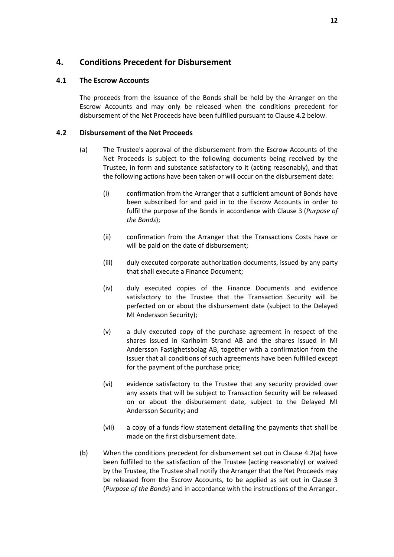# <span id="page-13-0"></span>**4. Conditions Precedent for Disbursement**

#### **4.1 The Escrow Accounts**

The proceeds from the issuance of the Bonds shall be held by the Arranger on the Escrow Accounts and may only be released when the conditions precedent for disbursement of the Net Proceeds have been fulfilled pursuant to Claus[e 4.2](#page-13-1) below.

#### <span id="page-13-2"></span><span id="page-13-1"></span>**4.2 Disbursement of the Net Proceeds**

- (a) The Trustee's approval of the disbursement from the Escrow Accounts of the Net Proceeds is subject to the following documents being received by the Trustee, in form and substance satisfactory to it (acting reasonably), and that the following actions have been taken or will occur on the disbursement date:
	- (i) confirmation from the Arranger that a sufficient amount of Bonds have been subscribed for and paid in to the Escrow Accounts in order to fulfil the purpose of the Bonds in accordance with Clause 3 (*Purpose of the Bonds*);
	- (ii) confirmation from the Arranger that the Transactions Costs have or will be paid on the date of disbursement;
	- (iii) duly executed corporate authorization documents, issued by any party that shall execute a Finance Document;
	- (iv) duly executed copies of the Finance Documents and evidence satisfactory to the Trustee that the Transaction Security will be perfected on or about the disbursement date (subject to the Delayed MI Andersson Security);
	- (v) a duly executed copy of the purchase agreement in respect of the shares issued in Karlholm Strand AB and the shares issued in MI Andersson Fastighetsbolag AB, together with a confirmation from the Issuer that all conditions of such agreements have been fulfilled except for the payment of the purchase price;
	- (vi) evidence satisfactory to the Trustee that any security provided over any assets that will be subject to Transaction Security will be released on or about the disbursement date, subject to the Delayed MI Andersson Security; and
	- (vii) a copy of a funds flow statement detailing the payments that shall be made on the first disbursement date.
- (b) When the conditions precedent for disbursement set out in Clause [4.2\(a\)](#page-13-2) have been fulfilled to the satisfaction of the Trustee (acting reasonably) or waived by the Trustee, the Trustee shall notify the Arranger that the Net Proceeds may be released from the Escrow Accounts, to be applied as set out in Clause [3](#page-12-0) (*[Purpose of the Bonds](#page-12-0)*) and in accordance with the instructions of the Arranger.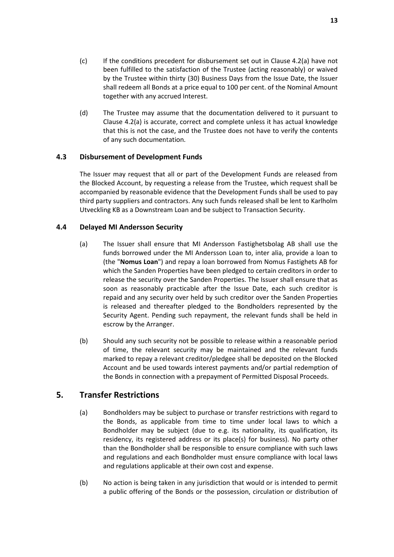- (c) If the conditions precedent for disbursement set out in Clause [4.2\(a\)](#page-13-2) have not been fulfilled to the satisfaction of the Trustee (acting reasonably) or waived by the Trustee within thirty (30) Business Days from the Issue Date, the Issuer shall redeem all Bonds at a price equal to 100 per cent. of the Nominal Amount together with any accrued Interest.
- (d) The Trustee may assume that the documentation delivered to it pursuant to Clause [4.2\(a\)](#page-13-2) is accurate, correct and complete unless it has actual knowledge that this is not the case, and the Trustee does not have to verify the contents of any such documentation.

### **4.3 Disbursement of Development Funds**

The Issuer may request that all or part of the Development Funds are released from the Blocked Account, by requesting a release from the Trustee, which request shall be accompanied by reasonable evidence that the Development Funds shall be used to pay third party suppliers and contractors. Any such funds released shall be lent to Karlholm Utveckling KB as a Downstream Loan and be subject to Transaction Security.

### <span id="page-14-1"></span>**4.4 Delayed MI Andersson Security**

- (a) The Issuer shall ensure that MI Andersson Fastighetsbolag AB shall use the funds borrowed under the MI Andersson Loan to, inter alia, provide a loan to (the "**Nomus Loan**") and repay a loan borrowed from Nomus Fastighets AB for which the Sanden Properties have been pledged to certain creditors in order to release the security over the Sanden Properties. The Issuer shall ensure that as soon as reasonably practicable after the Issue Date, each such creditor is repaid and any security over held by such creditor over the Sanden Properties is released and thereafter pledged to the Bondholders represented by the Security Agent. Pending such repayment, the relevant funds shall be held in escrow by the Arranger.
- (b) Should any such security not be possible to release within a reasonable period of time, the relevant security may be maintained and the relevant funds marked to repay a relevant creditor/pledgee shall be deposited on the Blocked Account and be used towards interest payments and/or partial redemption of the Bonds in connection with a prepayment of Permitted Disposal Proceeds.

# <span id="page-14-0"></span>**5. Transfer Restrictions**

- (a) Bondholders may be subject to purchase or transfer restrictions with regard to the Bonds, as applicable from time to time under local laws to which a Bondholder may be subject (due to e.g. its nationality, its qualification, its residency, its registered address or its place(s) for business). No party other than the Bondholder shall be responsible to ensure compliance with such laws and regulations and each Bondholder must ensure compliance with local laws and regulations applicable at their own cost and expense.
- <span id="page-14-2"></span>(b) No action is being taken in any jurisdiction that would or is intended to permit a public offering of the Bonds or the possession, circulation or distribution of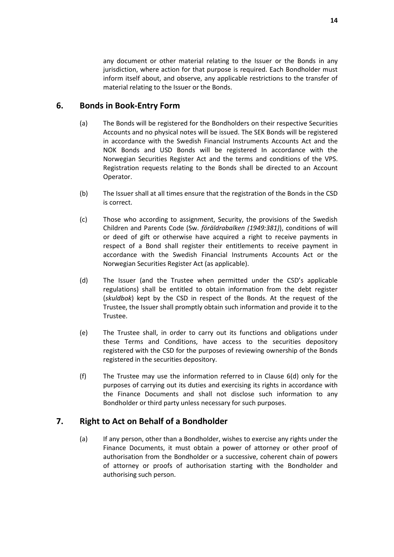any document or other material relating to the Issuer or the Bonds in any jurisdiction, where action for that purpose is required. Each Bondholder must inform itself about, and observe, any applicable restrictions to the transfer of material relating to the Issuer or the Bonds.

# <span id="page-15-0"></span>**6. Bonds in Book-Entry Form**

- (a) The Bonds will be registered for the Bondholders on their respective Securities Accounts and no physical notes will be issued. The SEK Bonds will be registered in accordance with the Swedish Financial Instruments Accounts Act and the NOK Bonds and USD Bonds will be registered In accordance with the Norwegian Securities Register Act and the terms and conditions of the VPS. Registration requests relating to the Bonds shall be directed to an Account Operator.
- (b) The Issuer shall at all times ensure that the registration of the Bonds in the CSD is correct.
- (c) Those who according to assignment, Security, the provisions of the Swedish Children and Parents Code (Sw. *föräldrabalken (1949:381)*), conditions of will or deed of gift or otherwise have acquired a right to receive payments in respect of a Bond shall register their entitlements to receive payment in accordance with the Swedish Financial Instruments Accounts Act or the Norwegian Securities Register Act (as applicable).
- <span id="page-15-2"></span>(d) The Issuer (and the Trustee when permitted under the CSD's applicable regulations) shall be entitled to obtain information from the debt register (*skuldbok*) kept by the CSD in respect of the Bonds. At the request of the Trustee, the Issuer shall promptly obtain such information and provide it to the Trustee.
- (e) The Trustee shall, in order to carry out its functions and obligations under these Terms and Conditions, have access to the securities depository registered with the CSD for the purposes of reviewing ownership of the Bonds registered in the securities depository.
- (f) The Trustee may use the information referred to in Clause [6\(d\)](#page-15-2) only for the purposes of carrying out its duties and exercising its rights in accordance with the Finance Documents and shall not disclose such information to any Bondholder or third party unless necessary for such purposes.

# <span id="page-15-1"></span>**7. Right to Act on Behalf of a Bondholder**

(a) If any person, other than a Bondholder, wishes to exercise any rights under the Finance Documents, it must obtain a power of attorney or other proof of authorisation from the Bondholder or a successive, coherent chain of powers of attorney or proofs of authorisation starting with the Bondholder and authorising such person.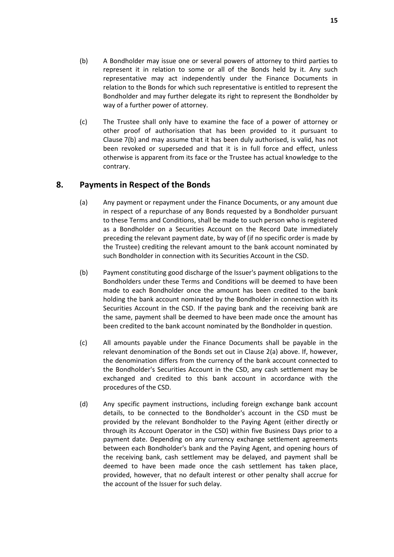- <span id="page-16-1"></span>(b) A Bondholder may issue one or several powers of attorney to third parties to represent it in relation to some or all of the Bonds held by it. Any such representative may act independently under the Finance Documents in relation to the Bonds for which such representative is entitled to represent the Bondholder and may further delegate its right to represent the Bondholder by way of a further power of attorney.
- (c) The Trustee shall only have to examine the face of a power of attorney or other proof of authorisation that has been provided to it pursuant to Clause [7\(b\)](#page-16-1) and may assume that it has been duly authorised, is valid, has not been revoked or superseded and that it is in full force and effect, unless otherwise is apparent from its face or the Trustee has actual knowledge to the contrary.

# <span id="page-16-0"></span>**8. Payments in Respect of the Bonds**

- (a) Any payment or repayment under the Finance Documents, or any amount due in respect of a repurchase of any Bonds requested by a Bondholder pursuant to these Terms and Conditions, shall be made to such person who is registered as a Bondholder on a Securities Account on the Record Date immediately preceding the relevant payment date, by way of (if no specific order is made by the Trustee) crediting the relevant amount to the bank account nominated by such Bondholder in connection with its Securities Account in the CSD.
- (b) Payment constituting good discharge of the Issuer's payment obligations to the Bondholders under these Terms and Conditions will be deemed to have been made to each Bondholder once the amount has been credited to the bank holding the bank account nominated by the Bondholder in connection with its Securities Account in the CSD. If the paying bank and the receiving bank are the same, payment shall be deemed to have been made once the amount has been credited to the bank account nominated by the Bondholder in question.
- (c) All amounts payable under the Finance Documents shall be payable in the relevant denomination of the Bonds set out in Clause [2\(a\)](#page-11-2) above. If, however, the denomination differs from the currency of the bank account connected to the Bondholder's Securities Account in the CSD, any cash settlement may be exchanged and credited to this bank account in accordance with the procedures of the CSD.
- (d) Any specific payment instructions, including foreign exchange bank account details, to be connected to the Bondholder's account in the CSD must be provided by the relevant Bondholder to the Paying Agent (either directly or through its Account Operator in the CSD) within five Business Days prior to a payment date. Depending on any currency exchange settlement agreements between each Bondholder's bank and the Paying Agent, and opening hours of the receiving bank, cash settlement may be delayed, and payment shall be deemed to have been made once the cash settlement has taken place, provided, however, that no default interest or other penalty shall accrue for the account of the Issuer for such delay.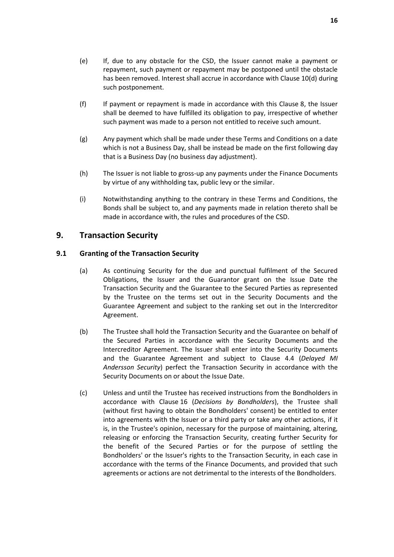- (e) If, due to any obstacle for the CSD, the Issuer cannot make a payment or repayment, such payment or repayment may be postponed until the obstacle has been removed. Interest shall accrue in accordance with Clause [10\(d\)](#page-19-5) during such postponement.
- (f) If payment or repayment is made in accordance with this Clause [8,](#page-16-0) the Issuer shall be deemed to have fulfilled its obligation to pay, irrespective of whether such payment was made to a person not entitled to receive such amount.
- (g) Any payment which shall be made under these Terms and Conditions on a date which is not a Business Day, shall be instead be made on the first following day that is a Business Day (no business day adjustment).
- (h) The Issuer is not liable to gross-up any payments under the Finance Documents by virtue of any withholding tax, public levy or the similar.
- (i) Notwithstanding anything to the contrary in these Terms and Conditions, the Bonds shall be subject to, and any payments made in relation thereto shall be made in accordance with, the rules and procedures of the CSD.

# <span id="page-17-0"></span>**9. Transaction Security**

### **9.1 Granting of the Transaction Security**

- (a) As continuing Security for the due and punctual fulfilment of the Secured Obligations, the Issuer and the Guarantor grant on the Issue Date the Transaction Security and the Guarantee to the Secured Parties as represented by the Trustee on the terms set out in the Security Documents and the Guarantee Agreement and subject to the ranking set out in the Intercreditor Agreement.
- (b) The Trustee shall hold the Transaction Security and the Guarantee on behalf of the Secured Parties in accordance with the Security Documents and the Intercreditor Agreement. The Issuer shall enter into the Security Documents and the Guarantee Agreement and subject to Clause [4.4](#page-14-1) (*[Delayed MI](#page-14-1)  [Andersson Security](#page-14-1)*) perfect the Transaction Security in accordance with the Security Documents on or about the Issue Date.
- (c) Unless and until the Trustee has received instructions from the Bondholders in accordance with Clause [16](#page-28-0) (*[Decisions by Bondholders](#page-28-0)*), the Trustee shall (without first having to obtain the Bondholders' consent) be entitled to enter into agreements with the Issuer or a third party or take any other actions, if it is, in the Trustee's opinion, necessary for the purpose of maintaining, altering, releasing or enforcing the Transaction Security, creating further Security for the benefit of the Secured Parties or for the purpose of settling the Bondholders' or the Issuer's rights to the Transaction Security, in each case in accordance with the terms of the Finance Documents, and provided that such agreements or actions are not detrimental to the interests of the Bondholders.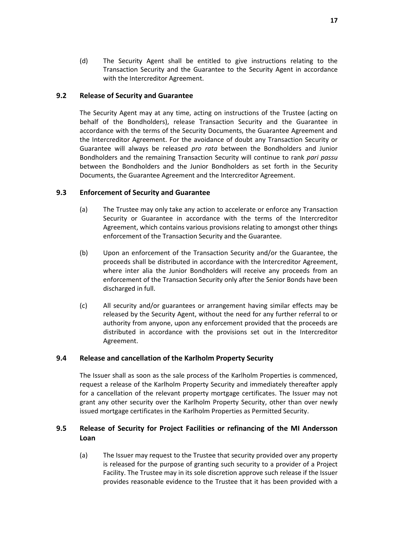(d) The Security Agent shall be entitled to give instructions relating to the Transaction Security and the Guarantee to the Security Agent in accordance with the Intercreditor Agreement.

#### **9.2 Release of Security and Guarantee**

The Security Agent may at any time, acting on instructions of the Trustee (acting on behalf of the Bondholders), release Transaction Security and the Guarantee in accordance with the terms of the Security Documents, the Guarantee Agreement and the Intercreditor Agreement. For the avoidance of doubt any Transaction Security or Guarantee will always be released *pro rata* between the Bondholders and Junior Bondholders and the remaining Transaction Security will continue to rank *pari passu* between the Bondholders and the Junior Bondholders as set forth in the Security Documents, the Guarantee Agreement and the Intercreditor Agreement.

#### **9.3 Enforcement of Security and Guarantee**

- (a) The Trustee may only take any action to accelerate or enforce any Transaction Security or Guarantee in accordance with the terms of the Intercreditor Agreement, which contains various provisions relating to amongst other things enforcement of the Transaction Security and the Guarantee.
- (b) Upon an enforcement of the Transaction Security and/or the Guarantee, the proceeds shall be distributed in accordance with the Intercreditor Agreement, where inter alia the Junior Bondholders will receive any proceeds from an enforcement of the Transaction Security only after the Senior Bonds have been discharged in full.
- (c) All security and/or guarantees or arrangement having similar effects may be released by the Security Agent, without the need for any further referral to or authority from anyone, upon any enforcement provided that the proceeds are distributed in accordance with the provisions set out in the Intercreditor Agreement.

#### **9.4 Release and cancellation of the Karlholm Property Security**

The Issuer shall as soon as the sale process of the Karlholm Properties is commenced, request a release of the Karlholm Property Security and immediately thereafter apply for a cancellation of the relevant property mortgage certificates. The Issuer may not grant any other security over the Karlholm Property Security, other than over newly issued mortgage certificates in the Karlholm Properties as Permitted Security.

### **9.5 Release of Security for Project Facilities or refinancing of the MI Andersson Loan**

(a) The Issuer may request to the Trustee that security provided over any property is released for the purpose of granting such security to a provider of a Project Facility. The Trustee may in its sole discretion approve such release if the Issuer provides reasonable evidence to the Trustee that it has been provided with a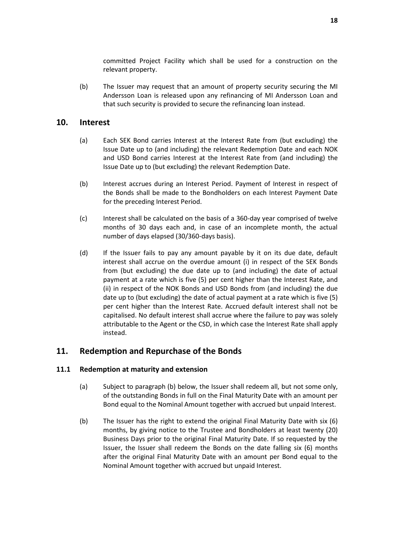committed Project Facility which shall be used for a construction on the relevant property.

(b) The Issuer may request that an amount of property security securing the MI Andersson Loan is released upon any refinancing of MI Andersson Loan and that such security is provided to secure the refinancing loan instead.

### <span id="page-19-3"></span><span id="page-19-0"></span>**10. Interest**

- (a) Each SEK Bond carries Interest at the Interest Rate from (but excluding) the Issue Date up to (and including) the relevant Redemption Date and each NOK and USD Bond carries Interest at the Interest Rate from (and including) the Issue Date up to (but excluding) the relevant Redemption Date.
- (b) Interest accrues during an Interest Period. Payment of Interest in respect of the Bonds shall be made to the Bondholders on each Interest Payment Date for the preceding Interest Period.
- <span id="page-19-4"></span>(c) Interest shall be calculated on the basis of a 360-day year comprised of twelve months of 30 days each and, in case of an incomplete month, the actual number of days elapsed (30/360-days basis).
- <span id="page-19-5"></span>(d) If the Issuer fails to pay any amount payable by it on its due date, default interest shall accrue on the overdue amount (i) in respect of the SEK Bonds from (but excluding) the due date up to (and including) the date of actual payment at a rate which is five (5) per cent higher than the Interest Rate, and (ii) in respect of the NOK Bonds and USD Bonds from (and including) the due date up to (but excluding) the date of actual payment at a rate which is five (5) per cent higher than the Interest Rate. Accrued default interest shall not be capitalised. No default interest shall accrue where the failure to pay was solely attributable to the Agent or the CSD, in which case the Interest Rate shall apply instead.

# <span id="page-19-1"></span>**11. Redemption and Repurchase of the Bonds**

### **11.1 Redemption at maturity and extension**

- (a) Subject to paragraph (b) below, the Issuer shall redeem all, but not some only, of the outstanding Bonds in full on the Final Maturity Date with an amount per Bond equal to the Nominal Amount together with accrued but unpaid Interest.
- <span id="page-19-2"></span>(b) The Issuer has the right to extend the original Final Maturity Date with six (6) months, by giving notice to the Trustee and Bondholders at least twenty (20) Business Days prior to the original Final Maturity Date. If so requested by the Issuer, the Issuer shall redeem the Bonds on the date falling six (6) months after the original Final Maturity Date with an amount per Bond equal to the Nominal Amount together with accrued but unpaid Interest.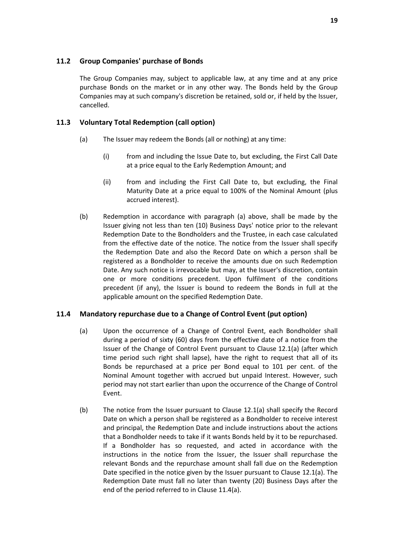### **11.2 Group Companies' purchase of Bonds**

The Group Companies may, subject to applicable law, at any time and at any price purchase Bonds on the market or in any other way. The Bonds held by the Group Companies may at such company's discretion be retained, sold or, if held by the Issuer, cancelled.

### <span id="page-20-2"></span>**11.3 Voluntary Total Redemption (call option)**

- (a) The Issuer may redeem the Bonds (all or nothing) at any time:
	- (i) from and including the Issue Date to, but excluding, the First Call Date at a price equal to the Early Redemption Amount; and
	- (ii) from and including the First Call Date to, but excluding, the Final Maturity Date at a price equal to 100% of the Nominal Amount (plus accrued interest).
- (b) Redemption in accordance with paragraph (a) above, shall be made by the Issuer giving not less than ten (10) Business Days' notice prior to the relevant Redemption Date to the Bondholders and the Trustee, in each case calculated from the effective date of the notice. The notice from the Issuer shall specify the Redemption Date and also the Record Date on which a person shall be registered as a Bondholder to receive the amounts due on such Redemption Date. Any such notice is irrevocable but may, at the Issuer's discretion, contain one or more conditions precedent. Upon fulfilment of the conditions precedent (if any), the Issuer is bound to redeem the Bonds in full at the applicable amount on the specified Redemption Date.

# <span id="page-20-1"></span><span id="page-20-0"></span>**11.4 Mandatory repurchase due to a Change of Control Event (put option)**

- (a) Upon the occurrence of a Change of Control Event, each Bondholder shall during a period of sixty (60) days from the effective date of a notice from the Issuer of the Change of Control Event pursuant to Clause [12.1\(a\)](#page-22-1) (after which time period such right shall lapse), have the right to request that all of its Bonds be repurchased at a price per Bond equal to 101 per cent. of the Nominal Amount together with accrued but unpaid Interest. However, such period may not start earlier than upon the occurrence of the Change of Control Event.
- (b) The notice from the Issuer pursuant to Clause [12.1\(a\)](#page-22-1) shall specify the Record Date on which a person shall be registered as a Bondholder to receive interest and principal, the Redemption Date and include instructions about the actions that a Bondholder needs to take if it wants Bonds held by it to be repurchased. If a Bondholder has so requested, and acted in accordance with the instructions in the notice from the Issuer, the Issuer shall repurchase the relevant Bonds and the repurchase amount shall fall due on the Redemption Date specified in the notice given by the Issuer pursuant to Clause [12.1\(a\).](#page-22-1) The Redemption Date must fall no later than twenty (20) Business Days after the end of the period referred to in Clause [11.4\(a\).](#page-20-0)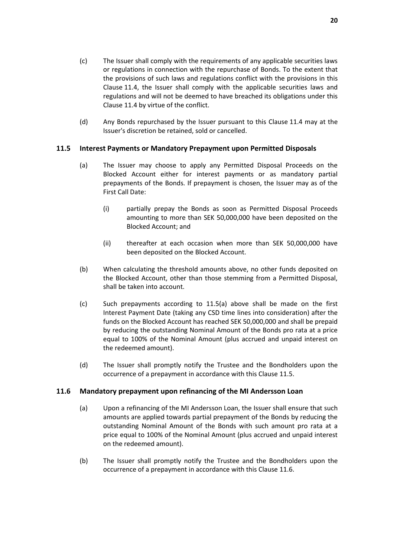- (c) The Issuer shall comply with the requirements of any applicable securities laws or regulations in connection with the repurchase of Bonds. To the extent that the provisions of such laws and regulations conflict with the provisions in this Clause [11.4,](#page-20-1) the Issuer shall comply with the applicable securities laws and regulations and will not be deemed to have breached its obligations under this Clause [11.4](#page-20-1) by virtue of the conflict.
- (d) Any Bonds repurchased by the Issuer pursuant to this Clause [11.4](#page-20-1) may at the Issuer's discretion be retained, sold or cancelled.

### <span id="page-21-0"></span>**11.5 Interest Payments or Mandatory Prepayment upon Permitted Disposals**

- (a) The Issuer may choose to apply any Permitted Disposal Proceeds on the Blocked Account either for interest payments or as mandatory partial prepayments of the Bonds. If prepayment is chosen, the Issuer may as of the First Call Date:
	- (i) partially prepay the Bonds as soon as Permitted Disposal Proceeds amounting to more than SEK 50,000,000 have been deposited on the Blocked Account; and
	- (ii) thereafter at each occasion when more than SEK 50,000,000 have been deposited on the Blocked Account.
- (b) When calculating the threshold amounts above, no other funds deposited on the Blocked Account, other than those stemming from a Permitted Disposal, shall be taken into account.
- (c) Such prepayments according to 11.5(a) above shall be made on the first Interest Payment Date (taking any CSD time lines into consideration) after the funds on the Blocked Account has reached SEK 50,000,000 and shall be prepaid by reducing the outstanding Nominal Amount of the Bonds pro rata at a price equal to 100% of the Nominal Amount (plus accrued and unpaid interest on the redeemed amount).
- (d) The Issuer shall promptly notify the Trustee and the Bondholders upon the occurrence of a prepayment in accordance with this Clause [11.5.](#page-21-0)

### <span id="page-21-1"></span>**11.6 Mandatory prepayment upon refinancing of the MI Andersson Loan**

- (a) Upon a refinancing of the MI Andersson Loan, the Issuer shall ensure that such amounts are applied towards partial prepayment of the Bonds by reducing the outstanding Nominal Amount of the Bonds with such amount pro rata at a price equal to 100% of the Nominal Amount (plus accrued and unpaid interest on the redeemed amount).
- (b) The Issuer shall promptly notify the Trustee and the Bondholders upon the occurrence of a prepayment in accordance with this Clause [11.6.](#page-21-1)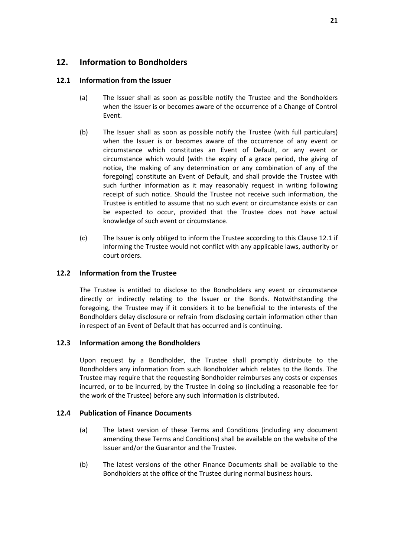# <span id="page-22-0"></span>**12. Information to Bondholders**

#### <span id="page-22-2"></span><span id="page-22-1"></span>**12.1 Information from the Issuer**

- (a) The Issuer shall as soon as possible notify the Trustee and the Bondholders when the Issuer is or becomes aware of the occurrence of a Change of Control Event.
- <span id="page-22-4"></span>(b) The Issuer shall as soon as possible notify the Trustee (with full particulars) when the Issuer is or becomes aware of the occurrence of any event or circumstance which constitutes an Event of Default, or any event or circumstance which would (with the expiry of a grace period, the giving of notice, the making of any determination or any combination of any of the foregoing) constitute an Event of Default, and shall provide the Trustee with such further information as it may reasonably request in writing following receipt of such notice. Should the Trustee not receive such information, the Trustee is entitled to assume that no such event or circumstance exists or can be expected to occur, provided that the Trustee does not have actual knowledge of such event or circumstance.
- (c) The Issuer is only obliged to inform the Trustee according to this Clause [12.1](#page-22-2) if informing the Trustee would not conflict with any applicable laws, authority or court orders.

### **12.2 Information from the Trustee**

The Trustee is entitled to disclose to the Bondholders any event or circumstance directly or indirectly relating to the Issuer or the Bonds. Notwithstanding the foregoing, the Trustee may if it considers it to be beneficial to the interests of the Bondholders delay disclosure or refrain from disclosing certain information other than in respect of an Event of Default that has occurred and is continuing.

#### <span id="page-22-3"></span>**12.3 Information among the Bondholders**

Upon request by a Bondholder, the Trustee shall promptly distribute to the Bondholders any information from such Bondholder which relates to the Bonds. The Trustee may require that the requesting Bondholder reimburses any costs or expenses incurred, or to be incurred, by the Trustee in doing so (including a reasonable fee for the work of the Trustee) before any such information is distributed.

#### **12.4 Publication of Finance Documents**

- (a) The latest version of these Terms and Conditions (including any document amending these Terms and Conditions) shall be available on the website of the Issuer and/or the Guarantor and the Trustee.
- (b) The latest versions of the other Finance Documents shall be available to the Bondholders at the office of the Trustee during normal business hours.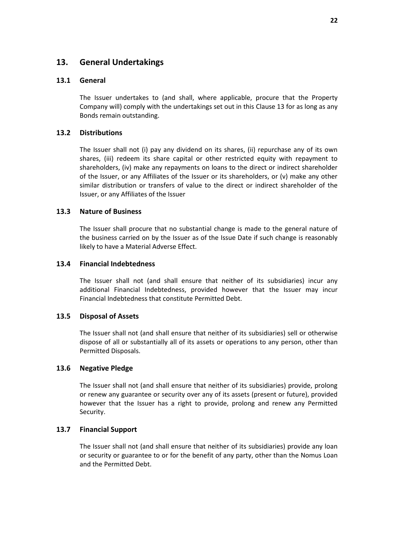# <span id="page-23-0"></span>**13. General Undertakings**

#### **13.1 General**

The Issuer undertakes to (and shall, where applicable, procure that the Property Company will) comply with the undertakings set out in this Clause [13](#page-23-0) for as long as any Bonds remain outstanding.

#### **13.2 Distributions**

The Issuer shall not (i) pay any dividend on its shares, (ii) repurchase any of its own shares, (iii) redeem its share capital or other restricted equity with repayment to shareholders, (iv) make any repayments on loans to the direct or indirect shareholder of the Issuer, or any Affiliates of the Issuer or its shareholders, or (v) make any other similar distribution or transfers of value to the direct or indirect shareholder of the Issuer, or any Affiliates of the Issuer

#### **13.3 Nature of Business**

The Issuer shall procure that no substantial change is made to the general nature of the business carried on by the Issuer as of the Issue Date if such change is reasonably likely to have a Material Adverse Effect.

#### **13.4 Financial Indebtedness**

The Issuer shall not (and shall ensure that neither of its subsidiaries) incur any additional Financial Indebtedness, provided however that the Issuer may incur Financial Indebtedness that constitute Permitted Debt.

#### **13.5 Disposal of Assets**

The Issuer shall not (and shall ensure that neither of its subsidiaries) sell or otherwise dispose of all or substantially all of its assets or operations to any person, other than Permitted Disposals.

#### **13.6 Negative Pledge**

The Issuer shall not (and shall ensure that neither of its subsidiaries) provide, prolong or renew any guarantee or security over any of its assets (present or future), provided however that the Issuer has a right to provide, prolong and renew any Permitted Security.

#### **13.7 Financial Support**

The Issuer shall not (and shall ensure that neither of its subsidiaries) provide any loan or security or guarantee to or for the benefit of any party, other than the Nomus Loan and the Permitted Debt.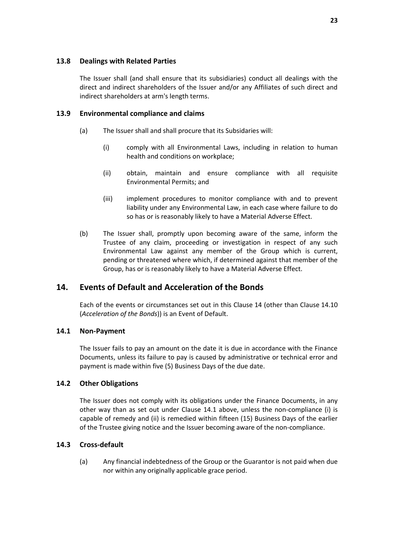### **13.8 Dealings with Related Parties**

The Issuer shall (and shall ensure that its subsidiaries) conduct all dealings with the direct and indirect shareholders of the Issuer and/or any Affiliates of such direct and indirect shareholders at arm's length terms.

#### **13.9 Environmental compliance and claims**

- (a) The Issuer shall and shall procure that its Subsidaries will:
	- (i) comply with all Environmental Laws, including in relation to human health and conditions on workplace;
	- (ii) obtain, maintain and ensure compliance with all requisite Environmental Permits; and
	- (iii) implement procedures to monitor compliance with and to prevent liability under any Environmental Law, in each case where failure to do so has or is reasonably likely to have a Material Adverse Effect.
- (b) The Issuer shall, promptly upon becoming aware of the same, inform the Trustee of any claim, proceeding or investigation in respect of any such Environmental Law against any member of the Group which is current, pending or threatened where which, if determined against that member of the Group, has or is reasonably likely to have a Material Adverse Effect.

# <span id="page-24-0"></span>**14. Events of Default and Acceleration of the Bonds**

Each of the events or circumstances set out in this Clause [14](#page-24-0) (other than Clause [14.10](#page-26-1) (*[Acceleration of the Bonds](#page-26-1)*)) is an Event of Default.

### <span id="page-24-1"></span>**14.1 Non-Payment**

The Issuer fails to pay an amount on the date it is due in accordance with the Finance Documents, unless its failure to pay is caused by administrative or technical error and payment is made within five (5) Business Days of the due date.

### **14.2 Other Obligations**

The Issuer does not comply with its obligations under the Finance Documents, in any other way than as set out under Clause [14.1](#page-24-1) above, unless the non-compliance (i) is capable of remedy and (ii) is remedied within fifteen (15) Business Days of the earlier of the Trustee giving notice and the Issuer becoming aware of the non-compliance.

### <span id="page-24-2"></span>**14.3 Cross-default**

(a) Any financial indebtedness of the Group or the Guarantor is not paid when due nor within any originally applicable grace period.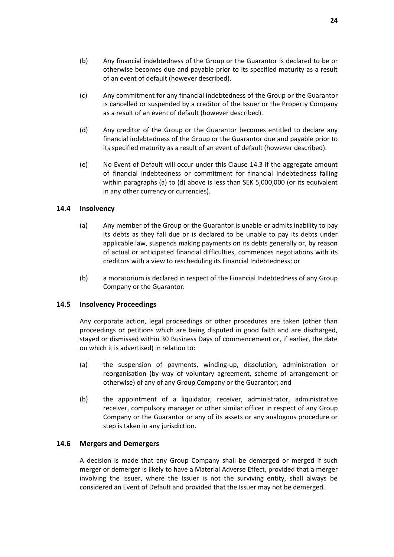- (b) Any financial indebtedness of the Group or the Guarantor is declared to be or otherwise becomes due and payable prior to its specified maturity as a result of an event of default (however described).
- (c) Any commitment for any financial indebtedness of the Group or the Guarantor is cancelled or suspended by a creditor of the Issuer or the Property Company as a result of an event of default (however described).
- (d) Any creditor of the Group or the Guarantor becomes entitled to declare any financial indebtedness of the Group or the Guarantor due and payable prior to its specified maturity as a result of an event of default (however described).
- (e) No Event of Default will occur under this Clause [14.3](#page-24-2) if the aggregate amount of financial indebtedness or commitment for financial indebtedness falling within paragraphs (a) to (d) above is less than SEK 5,000,000 (or its equivalent in any other currency or currencies).

#### **14.4 Insolvency**

- (a) Any member of the Group or the Guarantor is unable or admits inability to pay its debts as they fall due or is declared to be unable to pay its debts under applicable law, suspends making payments on its debts generally or, by reason of actual or anticipated financial difficulties, commences negotiations with its creditors with a view to rescheduling its Financial Indebtedness; or
- (b) a moratorium is declared in respect of the Financial Indebtedness of any Group Company or the Guarantor.

#### **14.5 Insolvency Proceedings**

Any corporate action, legal proceedings or other procedures are taken (other than proceedings or petitions which are being disputed in good faith and are discharged, stayed or dismissed within 30 Business Days of commencement or, if earlier, the date on which it is advertised) in relation to:

- (a) the suspension of payments, winding-up, dissolution, administration or reorganisation (by way of voluntary agreement, scheme of arrangement or otherwise) of any of any Group Company or the Guarantor; and
- (b) the appointment of a liquidator, receiver, administrator, administrative receiver, compulsory manager or other similar officer in respect of any Group Company or the Guarantor or any of its assets or any analogous procedure or step is taken in any jurisdiction.

#### <span id="page-25-0"></span>**14.6 Mergers and Demergers**

A decision is made that any Group Company shall be demerged or merged if such merger or demerger is likely to have a Material Adverse Effect, provided that a merger involving the Issuer, where the Issuer is not the surviving entity, shall always be considered an Event of Default and provided that the Issuer may not be demerged.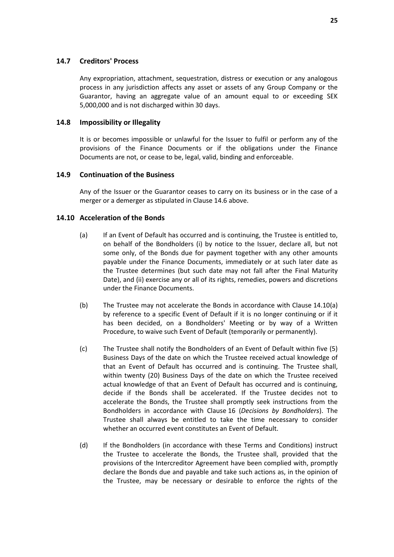### **14.7 Creditors' Process**

Any expropriation, attachment, sequestration, distress or execution or any analogous process in any jurisdiction affects any asset or assets of any Group Company or the Guarantor, having an aggregate value of an amount equal to or exceeding SEK 5,000,000 and is not discharged within 30 days.

#### **14.8 Impossibility or Illegality**

It is or becomes impossible or unlawful for the Issuer to fulfil or perform any of the provisions of the Finance Documents or if the obligations under the Finance Documents are not, or cease to be, legal, valid, binding and enforceable.

#### <span id="page-26-0"></span>**14.9 Continuation of the Business**

Any of the Issuer or the Guarantor ceases to carry on its business or in the case of a merger or a demerger as stipulated in Claus[e 14.6](#page-25-0) above.

#### <span id="page-26-1"></span>**14.10 Acceleration of the Bonds**

- (a) If an Event of Default has occurred and is continuing, the Trustee is entitled to, on behalf of the Bondholders (i) by notice to the Issuer, declare all, but not some only, of the Bonds due for payment together with any other amounts payable under the Finance Documents, immediately or at such later date as the Trustee determines (but such date may not fall after the Final Maturity Date), and (ii) exercise any or all of its rights, remedies, powers and discretions under the Finance Documents.
- (b) The Trustee may not accelerate the Bonds in accordance with Clause [14.10\(a\)](#page-26-1) by reference to a specific Event of Default if it is no longer continuing or if it has been decided, on a Bondholders' Meeting or by way of a Written Procedure, to waive such Event of Default (temporarily or permanently).
- <span id="page-26-2"></span>(c) The Trustee shall notify the Bondholders of an Event of Default within five (5) Business Days of the date on which the Trustee received actual knowledge of that an Event of Default has occurred and is continuing. The Trustee shall, within twenty (20) Business Days of the date on which the Trustee received actual knowledge of that an Event of Default has occurred and is continuing, decide if the Bonds shall be accelerated. If the Trustee decides not to accelerate the Bonds, the Trustee shall promptly seek instructions from the Bondholders in accordance with Clause [16](#page-28-0) (*[Decisions by Bondholders](#page-28-0)*). The Trustee shall always be entitled to take the time necessary to consider whether an occurred event constitutes an Event of Default.
- (d) If the Bondholders (in accordance with these Terms and Conditions) instruct the Trustee to accelerate the Bonds, the Trustee shall, provided that the provisions of the Intercreditor Agreement have been complied with, promptly declare the Bonds due and payable and take such actions as, in the opinion of the Trustee, may be necessary or desirable to enforce the rights of the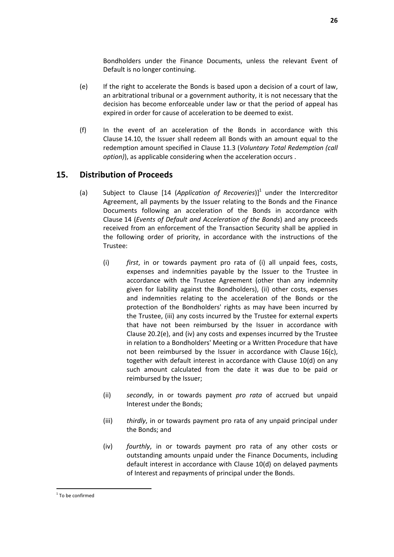Bondholders under the Finance Documents, unless the relevant Event of Default is no longer continuing.

- (e) If the right to accelerate the Bonds is based upon a decision of a court of law, an arbitrational tribunal or a government authority, it is not necessary that the decision has become enforceable under law or that the period of appeal has expired in order for cause of acceleration to be deemed to exist.
- (f) In the event of an acceleration of the Bonds in accordance with this Clause [14.10,](#page-26-1) the Issuer shall redeem all Bonds with an amount equal to the redemption amount specified in Clause [11.3](#page-20-2) (*Voluntary Total Redemption (call option)*), as applicable considering when the acceleration occurs .

# <span id="page-27-0"></span>**15. Distribution of Proceeds**

- (a) Subject to Clause [14 (Application of Recoveries)]<sup>1</sup> under the Intercreditor Agreement, all payments by the Issuer relating to the Bonds and the Finance Documents following an acceleration of the Bonds in accordance with Clause [14](#page-24-0) (*[Events of Default and Acceleration of the Bonds](#page-24-0)*) and any proceeds received from an enforcement of the Transaction Security shall be applied in the following order of priority, in accordance with the instructions of the Trustee:
	- (i) *first*, in or towards payment pro rata of (i) all unpaid fees, costs, expenses and indemnities payable by the Issuer to the Trustee in accordance with the Trustee Agreement (other than any indemnity given for liability against the Bondholders), (ii) other costs, expenses and indemnities relating to the acceleration of the Bonds or the protection of the Bondholders' rights as may have been incurred by the Trustee, (iii) any costs incurred by the Trustee for external experts that have not been reimbursed by the Issuer in accordance with Clause [20.2\(e\),](#page-34-0) and (iv) any costs and expenses incurred by the Trustee in relation to a Bondholders' Meeting or a Written Procedure that have not been reimbursed by the Issuer in accordance with Clause [16\(c\),](#page-28-1) together with default interest in accordance with Clause [10\(d\)](#page-19-5) on any such amount calculated from the date it was due to be paid or reimbursed by the Issuer;
	- (ii) *secondly*, in or towards payment *pro rata* of accrued but unpaid Interest under the Bonds;
	- (iii) *thirdly*, in or towards payment pro rata of any unpaid principal under the Bonds; and
	- (iv) *fourthly*, in or towards payment pro rata of any other costs or outstanding amounts unpaid under the Finance Documents, including default interest in accordance with Clause [10\(d\)](#page-19-5) on delayed payments of Interest and repayments of principal under the Bonds.

 $\overline{a}$ 

<sup>&</sup>lt;sup>1</sup> To be confirmed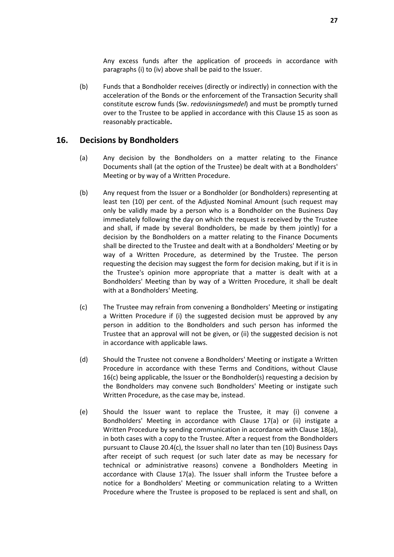Any excess funds after the application of proceeds in accordance with paragraphs (i) to (iv) above shall be paid to the Issuer.

(b) Funds that a Bondholder receives (directly or indirectly) in connection with the acceleration of the Bonds or the enforcement of the Transaction Security shall constitute escrow funds (Sw. *redovisningsmedel*) and must be promptly turned over to the Trustee to be applied in accordance with this Clause [15](#page-27-0) as soon as reasonably practicable**.**

### <span id="page-28-0"></span>**16. Decisions by Bondholders**

- (a) Any decision by the Bondholders on a matter relating to the Finance Documents shall (at the option of the Trustee) be dealt with at a Bondholders' Meeting or by way of a Written Procedure.
- (b) Any request from the Issuer or a Bondholder (or Bondholders) representing at least ten (10) per cent. of the Adjusted Nominal Amount (such request may only be validly made by a person who is a Bondholder on the Business Day immediately following the day on which the request is received by the Trustee and shall, if made by several Bondholders, be made by them jointly) for a decision by the Bondholders on a matter relating to the Finance Documents shall be directed to the Trustee and dealt with at a Bondholders' Meeting or by way of a Written Procedure, as determined by the Trustee. The person requesting the decision may suggest the form for decision making, but if it is in the Trustee's opinion more appropriate that a matter is dealt with at a Bondholders' Meeting than by way of a Written Procedure, it shall be dealt with at a Bondholders' Meeting.
- <span id="page-28-1"></span>(c) The Trustee may refrain from convening a Bondholders' Meeting or instigating a Written Procedure if (i) the suggested decision must be approved by any person in addition to the Bondholders and such person has informed the Trustee that an approval will not be given, or (ii) the suggested decision is not in accordance with applicable laws.
- (d) Should the Trustee not convene a Bondholders' Meeting or instigate a Written Procedure in accordance with these Terms and Conditions, without Clause [16\(c\)](#page-28-0) being applicable, the Issuer or the Bondholder(s) requesting a decision by the Bondholders may convene such Bondholders' Meeting or instigate such Written Procedure, as the case may be, instead.
- (e) Should the Issuer want to replace the Trustee, it may (i) convene a Bondholders' Meeting in accordance with Clause [17\(a\)](#page-31-1) or (ii) instigate a Written Procedure by sending communication in accordance with Clause [18\(a\),](#page-32-2) in both cases with a copy to the Trustee. After a request from the Bondholders pursuant to Clause [20.4\(c\),](#page-36-0) the Issuer shall no later than ten (10) Business Days after receipt of such request (or such later date as may be necessary for technical or administrative reasons) convene a Bondholders Meeting in accordance with Clause [17\(a\).](#page-31-1) The Issuer shall inform the Trustee before a notice for a Bondholders' Meeting or communication relating to a Written Procedure where the Trustee is proposed to be replaced is sent and shall, on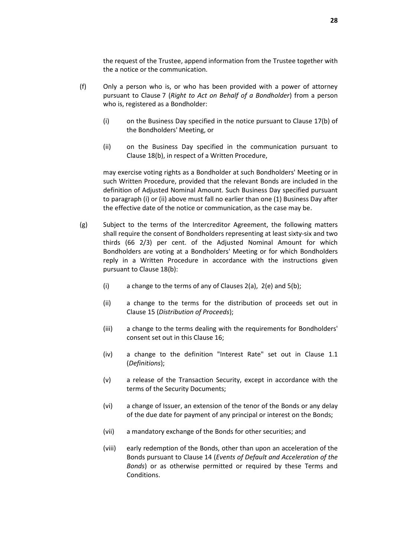the request of the Trustee, append information from the Trustee together with the a notice or the communication.

- (f) Only a person who is, or who has been provided with a power of attorney pursuant to Clause [7](#page-15-1) (*[Right to Act on Behalf of a Bondholder](#page-15-1)*) from a person who is, registered as a Bondholder:
	- (i) on the Business Day specified in the notice pursuant to Claus[e 17\(b\)](#page-31-2) of the Bondholders' Meeting, or
	- (ii) on the Business Day specified in the communication pursuant to Clause [18\(b\),](#page-32-3) in respect of a Written Procedure,

may exercise voting rights as a Bondholder at such Bondholders' Meeting or in such Written Procedure, provided that the relevant Bonds are included in the definition of Adjusted Nominal Amount. Such Business Day specified pursuant to paragraph (i) or (ii) above must fall no earlier than one (1) Business Day after the effective date of the notice or communication, as the case may be.

- <span id="page-29-0"></span>(g) Subject to the terms of the Intercreditor Agreement, the following matters shall require the consent of Bondholders representing at least sixty-six and two thirds (66 2/3) per cent. of the Adjusted Nominal Amount for which Bondholders are voting at a Bondholders' Meeting or for which Bondholders reply in a Written Procedure in accordance with the instructions given pursuant to Clause [18\(b\):](#page-32-3)
	- (i) a change to the terms of any of Clauses  $2(a)$ ,  $2(e)$  and  $5(b)$ ;
	- (ii) a change to the terms for the distribution of proceeds set out in Clause [15](#page-27-0) (*[Distribution of Proceeds](#page-27-0)*);
	- (iii) a change to the terms dealing with the requirements for Bondholders' consent set out in this Clause [16;](#page-28-0)
	- (iv) a change to the definition "Interest Rate" set out in Clause [1.1](#page-2-1) (*Definitions*);
	- (v) a release of the Transaction Security, except in accordance with the terms of the Security Documents;
	- (vi) a change of Issuer, an extension of the tenor of the Bonds or any delay of the due date for payment of any principal or interest on the Bonds;
	- (vii) a mandatory exchange of the Bonds for other securities; and
	- (viii) early redemption of the Bonds, other than upon an acceleration of the Bonds pursuant to Clause [14](#page-24-0) (*[Events of Default and Acceleration of the](#page-24-0)  [Bonds](#page-24-0)*) or as otherwise permitted or required by these Terms and Conditions.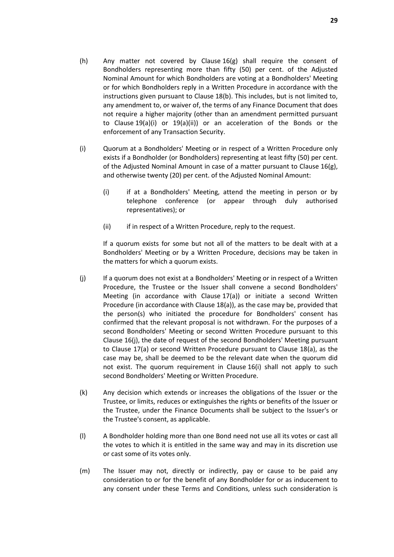- <span id="page-30-1"></span>(h) Any matter not covered by Clause  $16(g)$  shall require the consent of Bondholders representing more than fifty (50) per cent. of the Adjusted Nominal Amount for which Bondholders are voting at a Bondholders' Meeting or for which Bondholders reply in a Written Procedure in accordance with the instructions given pursuant to Clause [18\(b\).](#page-32-3) This includes, but is not limited to, any amendment to, or waiver of, the terms of any Finance Document that does not require a higher majority (other than an amendment permitted pursuant to Clause [19\(a\)\(i\)](#page-33-1) or [19\(a\)\(ii\)\)](#page-33-2) or an acceleration of the Bonds or the enforcement of any Transaction Security.
- <span id="page-30-0"></span>(i) Quorum at a Bondholders' Meeting or in respect of a Written Procedure only exists if a Bondholder (or Bondholders) representing at least fifty (50) per cent. of the Adjusted Nominal Amount in case of a matter pursuant to Clause [16\(g\),](#page-29-0) and otherwise twenty (20) per cent. of the Adjusted Nominal Amount:
	- (i) if at a Bondholders' Meeting, attend the meeting in person or by telephone conference (or appear through duly authorised representatives); or
	- (ii) if in respect of a Written Procedure, reply to the request.

If a quorum exists for some but not all of the matters to be dealt with at a Bondholders' Meeting or by a Written Procedure, decisions may be taken in the matters for which a quorum exists.

- (j) If a quorum does not exist at a Bondholders' Meeting or in respect of a Written Procedure, the Trustee or the Issuer shall convene a second Bondholders' Meeting (in accordance with Clause [17\(a\)\)](#page-31-1) or initiate a second Written Procedure (in accordance with Clause [18\(a\)\)](#page-32-2), as the case may be, provided that the person(s) who initiated the procedure for Bondholders' consent has confirmed that the relevant proposal is not withdrawn. For the purposes of a second Bondholders' Meeting or second Written Procedure pursuant to this Clause [16\(j\),](#page-28-0) the date of request of the second Bondholders' Meeting pursuant to Clause [17\(a\)](#page-31-1) or second Written Procedure pursuant to Clause [18\(a\),](#page-32-2) as the case may be, shall be deemed to be the relevant date when the quorum did not exist. The quorum requirement in Clause [16\(i\)](#page-30-0) shall not apply to such second Bondholders' Meeting or Written Procedure.
- (k) Any decision which extends or increases the obligations of the Issuer or the Trustee, or limits, reduces or extinguishes the rights or benefits of the Issuer or the Trustee, under the Finance Documents shall be subject to the Issuer's or the Trustee's consent, as applicable.
- (l) A Bondholder holding more than one Bond need not use all its votes or cast all the votes to which it is entitled in the same way and may in its discretion use or cast some of its votes only.
- (m) The Issuer may not, directly or indirectly, pay or cause to be paid any consideration to or for the benefit of any Bondholder for or as inducement to any consent under these Terms and Conditions, unless such consideration is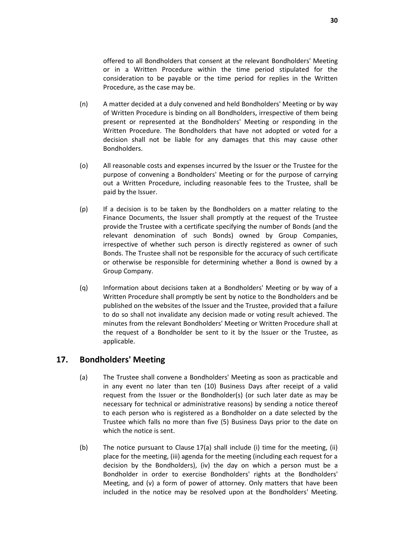offered to all Bondholders that consent at the relevant Bondholders' Meeting or in a Written Procedure within the time period stipulated for the consideration to be payable or the time period for replies in the Written Procedure, as the case may be.

- (n) A matter decided at a duly convened and held Bondholders' Meeting or by way of Written Procedure is binding on all Bondholders, irrespective of them being present or represented at the Bondholders' Meeting or responding in the Written Procedure. The Bondholders that have not adopted or voted for a decision shall not be liable for any damages that this may cause other Bondholders.
- (o) All reasonable costs and expenses incurred by the Issuer or the Trustee for the purpose of convening a Bondholders' Meeting or for the purpose of carrying out a Written Procedure, including reasonable fees to the Trustee, shall be paid by the Issuer.
- (p) If a decision is to be taken by the Bondholders on a matter relating to the Finance Documents, the Issuer shall promptly at the request of the Trustee provide the Trustee with a certificate specifying the number of Bonds (and the relevant denomination of such Bonds) owned by Group Companies, irrespective of whether such person is directly registered as owner of such Bonds. The Trustee shall not be responsible for the accuracy of such certificate or otherwise be responsible for determining whether a Bond is owned by a Group Company.
- <span id="page-31-3"></span>(q) Information about decisions taken at a Bondholders' Meeting or by way of a Written Procedure shall promptly be sent by notice to the Bondholders and be published on the websites of the Issuer and the Trustee, provided that a failure to do so shall not invalidate any decision made or voting result achieved. The minutes from the relevant Bondholders' Meeting or Written Procedure shall at the request of a Bondholder be sent to it by the Issuer or the Trustee, as applicable.

# <span id="page-31-1"></span><span id="page-31-0"></span>**17. Bondholders' Meeting**

- (a) The Trustee shall convene a Bondholders' Meeting as soon as practicable and in any event no later than ten (10) Business Days after receipt of a valid request from the Issuer or the Bondholder(s) (or such later date as may be necessary for technical or administrative reasons) by sending a notice thereof to each person who is registered as a Bondholder on a date selected by the Trustee which falls no more than five (5) Business Days prior to the date on which the notice is sent.
- <span id="page-31-2"></span>(b) The notice pursuant to Clause [17\(a\)](#page-31-1) shall include (i) time for the meeting, (ii) place for the meeting, (iii) agenda for the meeting (including each request for a decision by the Bondholders), (iv) the day on which a person must be a Bondholder in order to exercise Bondholders' rights at the Bondholders' Meeting, and (v) a form of power of attorney. Only matters that have been included in the notice may be resolved upon at the Bondholders' Meeting.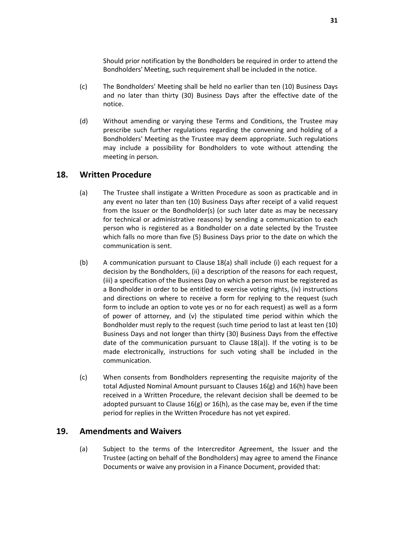Should prior notification by the Bondholders be required in order to attend the Bondholders' Meeting, such requirement shall be included in the notice.

- (c) The Bondholders' Meeting shall be held no earlier than ten (10) Business Days and no later than thirty (30) Business Days after the effective date of the notice.
- (d) Without amending or varying these Terms and Conditions, the Trustee may prescribe such further regulations regarding the convening and holding of a Bondholders' Meeting as the Trustee may deem appropriate. Such regulations may include a possibility for Bondholders to vote without attending the meeting in person.

# <span id="page-32-2"></span><span id="page-32-0"></span>**18. Written Procedure**

- (a) The Trustee shall instigate a Written Procedure as soon as practicable and in any event no later than ten (10) Business Days after receipt of a valid request from the Issuer or the Bondholder(s) (or such later date as may be necessary for technical or administrative reasons) by sending a communication to each person who is registered as a Bondholder on a date selected by the Trustee which falls no more than five (5) Business Days prior to the date on which the communication is sent.
- <span id="page-32-3"></span>(b) A communication pursuant to Clause [18\(a\)](#page-32-2) shall include (i) each request for a decision by the Bondholders, (ii) a description of the reasons for each request, (iii) a specification of the Business Day on which a person must be registered as a Bondholder in order to be entitled to exercise voting rights, (iv) instructions and directions on where to receive a form for replying to the request (such form to include an option to vote yes or no for each request) as well as a form of power of attorney, and (v) the stipulated time period within which the Bondholder must reply to the request (such time period to last at least ten (10) Business Days and not longer than thirty (30) Business Days from the effective date of the communication pursuant to Clause [18\(a\)\)](#page-32-2). If the voting is to be made electronically, instructions for such voting shall be included in the communication.
- (c) When consents from Bondholders representing the requisite majority of the total Adjusted Nominal Amount pursuant to Clauses [16\(g\)](#page-29-0) an[d 16\(h\)](#page-30-1) have been received in a Written Procedure, the relevant decision shall be deemed to be adopted pursuant to Clause [16\(g\)](#page-29-0) o[r 16\(h\),](#page-30-1) as the case may be, even if the time period for replies in the Written Procedure has not yet expired.

# <span id="page-32-4"></span><span id="page-32-1"></span>**19. Amendments and Waivers**

(a) Subject to the terms of the Intercreditor Agreement, the Issuer and the Trustee (acting on behalf of the Bondholders) may agree to amend the Finance Documents or waive any provision in a Finance Document, provided that: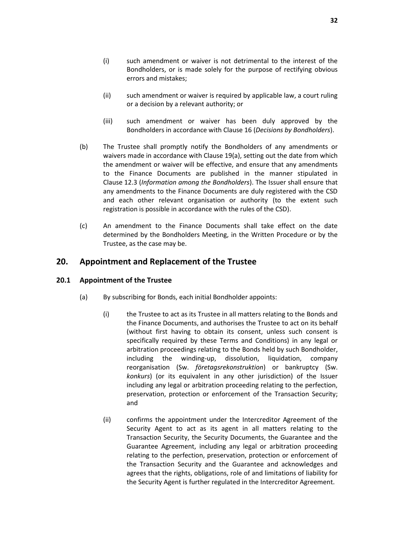- <span id="page-33-1"></span>(i) such amendment or waiver is not detrimental to the interest of the Bondholders, or is made solely for the purpose of rectifying obvious errors and mistakes;
- <span id="page-33-2"></span>(ii) such amendment or waiver is required by applicable law, a court ruling or a decision by a relevant authority; or
- (iii) such amendment or waiver has been duly approved by the Bondholders in accordance with Clause [16](#page-28-0) (*[Decisions by Bondholders](#page-28-0)*).
- <span id="page-33-4"></span>(b) The Trustee shall promptly notify the Bondholders of any amendments or waivers made in accordance with Clause [19\(a\),](#page-32-4) setting out the date from which the amendment or waiver will be effective, and ensure that any amendments to the Finance Documents are published in the manner stipulated in Clause [12.3](#page-22-3) (*Information among the Bondholders*). The Issuer shall ensure that any amendments to the Finance Documents are duly registered with the CSD and each other relevant organisation or authority (to the extent such registration is possible in accordance with the rules of the CSD).
- (c) An amendment to the Finance Documents shall take effect on the date determined by the Bondholders Meeting, in the Written Procedure or by the Trustee, as the case may be.

# <span id="page-33-0"></span>**20. Appointment and Replacement of the Trustee**

### <span id="page-33-3"></span>**20.1 Appointment of the Trustee**

- (a) By subscribing for Bonds, each initial Bondholder appoints:
	- (i) the Trustee to act as its Trustee in all matters relating to the Bonds and the Finance Documents, and authorises the Trustee to act on its behalf (without first having to obtain its consent, unless such consent is specifically required by these Terms and Conditions) in any legal or arbitration proceedings relating to the Bonds held by such Bondholder, including the winding-up, dissolution, liquidation, company reorganisation (Sw. *företagsrekonstruktion*) or bankruptcy (Sw. *konkurs*) (or its equivalent in any other jurisdiction) of the Issuer including any legal or arbitration proceeding relating to the perfection, preservation, protection or enforcement of the Transaction Security; and
	- (ii) confirms the appointment under the Intercreditor Agreement of the Security Agent to act as its agent in all matters relating to the Transaction Security, the Security Documents, the Guarantee and the Guarantee Agreement, including any legal or arbitration proceeding relating to the perfection, preservation, protection or enforcement of the Transaction Security and the Guarantee and acknowledges and agrees that the rights, obligations, role of and limitations of liability for the Security Agent is further regulated in the Intercreditor Agreement.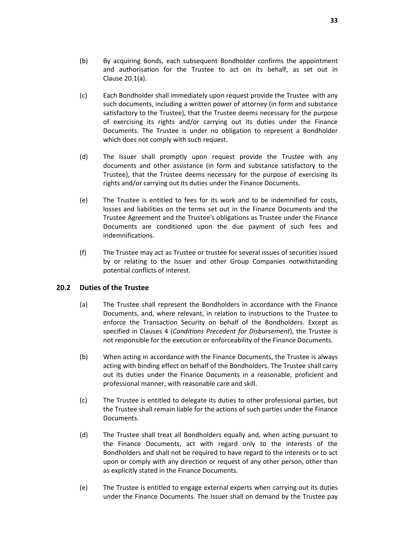- (b) By acquiring Bonds, each subsequent Bondholder confirms the appointment and authorisation for the Trustee to act on its behalf, as set out in Clause [20.1\(a\).](#page-33-3)
- <span id="page-34-1"></span>(c) Each Bondholder shall immediately upon request provide the Trustee with any such documents, including a written power of attorney (in form and substance satisfactory to the Trustee), that the Trustee deems necessary for the purpose of exercising its rights and/or carrying out its duties under the Finance Documents. The Trustee is under no obligation to represent a Bondholder which does not comply with such request.
- (d) The Issuer shall promptly upon request provide the Trustee with any documents and other assistance (in form and substance satisfactory to the Trustee), that the Trustee deems necessary for the purpose of exercising its rights and/or carrying out its duties under the Finance Documents.
- (e) The Trustee is entitled to fees for its work and to be indemnified for costs, losses and liabilities on the terms set out in the Finance Documents and the Trustee Agreement and the Trustee's obligations as Trustee under the Finance Documents are conditioned upon the due payment of such fees and indemnifications.
- (f) The Trustee may act as Trustee or trustee for several issues of securities issued by or relating to the Issuer and other Group Companies notwithstanding potential conflicts of interest.

### **20.2 Duties of the Trustee**

- (a) The Trustee shall represent the Bondholders in accordance with the Finance Documents, and, where relevant, in relation to instructions to the Trustee to enforce the Transaction Security on behalf of the Bondholders. Except as specified in Clauses [4](#page-13-0) (*[Conditions Precedent](#page-13-0) for Disbursement*), the Trustee is not responsible for the execution or enforceability of the Finance Documents.
- (b) When acting in accordance with the Finance Documents, the Trustee is always acting with binding effect on behalf of the Bondholders. The Trustee shall carry out its duties under the Finance Documents in a reasonable, proficient and professional manner, with reasonable care and skill.
- (c) The Trustee is entitled to delegate its duties to other professional parties, but the Trustee shall remain liable for the actions of such parties under the Finance Documents.
- (d) The Trustee shall treat all Bondholders equally and, when acting pursuant to the Finance Documents, act with regard only to the interests of the Bondholders and shall not be required to have regard to the interests or to act upon or comply with any direction or request of any other person, other than as explicitly stated in the Finance Documents.
- <span id="page-34-0"></span>(e) The Trustee is entitled to engage external experts when carrying out its duties under the Finance Documents. The Issuer shall on demand by the Trustee pay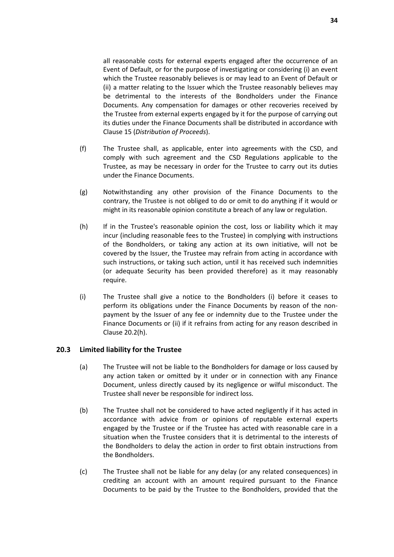all reasonable costs for external experts engaged after the occurrence of an Event of Default, or for the purpose of investigating or considering (i) an event which the Trustee reasonably believes is or may lead to an Event of Default or (ii) a matter relating to the Issuer which the Trustee reasonably believes may be detrimental to the interests of the Bondholders under the Finance Documents. Any compensation for damages or other recoveries received by the Trustee from external experts engaged by it for the purpose of carrying out its duties under the Finance Documents shall be distributed in accordance with Clause [15](#page-27-0) (*[Distribution of Proceeds](#page-27-0)*).

- (f) The Trustee shall, as applicable, enter into agreements with the CSD, and comply with such agreement and the CSD Regulations applicable to the Trustee, as may be necessary in order for the Trustee to carry out its duties under the Finance Documents.
- (g) Notwithstanding any other provision of the Finance Documents to the contrary, the Trustee is not obliged to do or omit to do anything if it would or might in its reasonable opinion constitute a breach of any law or regulation.
- <span id="page-35-0"></span>(h) If in the Trustee's reasonable opinion the cost, loss or liability which it may incur (including reasonable fees to the Trustee) in complying with instructions of the Bondholders, or taking any action at its own initiative, will not be covered by the Issuer, the Trustee may refrain from acting in accordance with such instructions, or taking such action, until it has received such indemnities (or adequate Security has been provided therefore) as it may reasonably require.
- <span id="page-35-1"></span>(i) The Trustee shall give a notice to the Bondholders (i) before it ceases to perform its obligations under the Finance Documents by reason of the nonpayment by the Issuer of any fee or indemnity due to the Trustee under the Finance Documents or (ii) if it refrains from acting for any reason described in Clause [20.2\(h\).](#page-35-0)

#### **20.3 Limited liability for the Trustee**

- (a) The Trustee will not be liable to the Bondholders for damage or loss caused by any action taken or omitted by it under or in connection with any Finance Document, unless directly caused by its negligence or wilful misconduct. The Trustee shall never be responsible for indirect loss.
- (b) The Trustee shall not be considered to have acted negligently if it has acted in accordance with advice from or opinions of reputable external experts engaged by the Trustee or if the Trustee has acted with reasonable care in a situation when the Trustee considers that it is detrimental to the interests of the Bondholders to delay the action in order to first obtain instructions from the Bondholders.
- (c) The Trustee shall not be liable for any delay (or any related consequences) in crediting an account with an amount required pursuant to the Finance Documents to be paid by the Trustee to the Bondholders, provided that the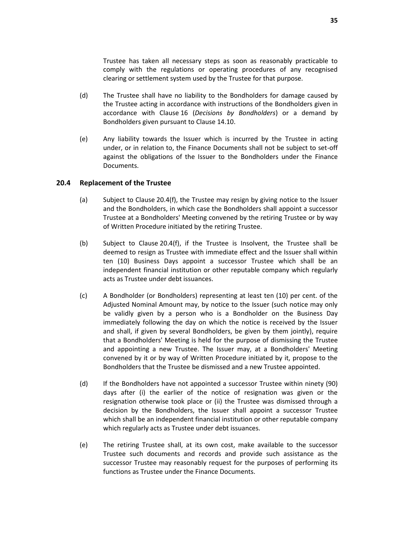Trustee has taken all necessary steps as soon as reasonably practicable to comply with the regulations or operating procedures of any recognised clearing or settlement system used by the Trustee for that purpose.

- (d) The Trustee shall have no liability to the Bondholders for damage caused by the Trustee acting in accordance with instructions of the Bondholders given in accordance with Clause [16](#page-28-0) (*[Decisions by Bondholders](#page-28-0)*) or a demand by Bondholders given pursuant to Clause [14.10.](#page-26-1)
- (e) Any liability towards the Issuer which is incurred by the Trustee in acting under, or in relation to, the Finance Documents shall not be subject to set-off against the obligations of the Issuer to the Bondholders under the Finance Documents.

#### <span id="page-36-1"></span>**20.4 Replacement of the Trustee**

- (a) Subject to Clause [20.4\(f\),](#page-37-2) the Trustee may resign by giving notice to the Issuer and the Bondholders, in which case the Bondholders shall appoint a successor Trustee at a Bondholders' Meeting convened by the retiring Trustee or by way of Written Procedure initiated by the retiring Trustee.
- (b) Subject to Clause [20.4\(f\),](#page-37-2) if the Trustee is Insolvent, the Trustee shall be deemed to resign as Trustee with immediate effect and the Issuer shall within ten (10) Business Days appoint a successor Trustee which shall be an independent financial institution or other reputable company which regularly acts as Trustee under debt issuances.
- <span id="page-36-0"></span>(c) A Bondholder (or Bondholders) representing at least ten (10) per cent. of the Adjusted Nominal Amount may, by notice to the Issuer (such notice may only be validly given by a person who is a Bondholder on the Business Day immediately following the day on which the notice is received by the Issuer and shall, if given by several Bondholders, be given by them jointly), require that a Bondholders' Meeting is held for the purpose of dismissing the Trustee and appointing a new Trustee. The Issuer may, at a Bondholders' Meeting convened by it or by way of Written Procedure initiated by it, propose to the Bondholders that the Trustee be dismissed and a new Trustee appointed.
- (d) If the Bondholders have not appointed a successor Trustee within ninety (90) days after (i) the earlier of the notice of resignation was given or the resignation otherwise took place or (ii) the Trustee was dismissed through a decision by the Bondholders, the Issuer shall appoint a successor Trustee which shall be an independent financial institution or other reputable company which regularly acts as Trustee under debt issuances.
- (e) The retiring Trustee shall, at its own cost, make available to the successor Trustee such documents and records and provide such assistance as the successor Trustee may reasonably request for the purposes of performing its functions as Trustee under the Finance Documents.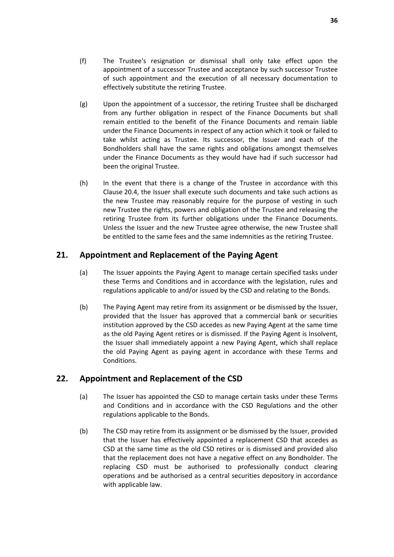- <span id="page-37-2"></span>(f) The Trustee's resignation or dismissal shall only take effect upon the appointment of a successor Trustee and acceptance by such successor Trustee of such appointment and the execution of all necessary documentation to effectively substitute the retiring Trustee.
- (g) Upon the appointment of a successor, the retiring Trustee shall be discharged from any further obligation in respect of the Finance Documents but shall remain entitled to the benefit of the Finance Documents and remain liable under the Finance Documents in respect of any action which it took or failed to take whilst acting as Trustee. Its successor, the Issuer and each of the Bondholders shall have the same rights and obligations amongst themselves under the Finance Documents as they would have had if such successor had been the original Trustee.
- (h) In the event that there is a change of the Trustee in accordance with this Clause [20.4,](#page-36-1) the Issuer shall execute such documents and take such actions as the new Trustee may reasonably require for the purpose of vesting in such new Trustee the rights, powers and obligation of the Trustee and releasing the retiring Trustee from its further obligations under the Finance Documents. Unless the Issuer and the new Trustee agree otherwise, the new Trustee shall be entitled to the same fees and the same indemnities as the retiring Trustee.

# <span id="page-37-0"></span>**21. Appointment and Replacement of the Paying Agent**

- (a) The Issuer appoints the Paying Agent to manage certain specified tasks under these Terms and Conditions and in accordance with the legislation, rules and regulations applicable to and/or issued by the CSD and relating to the Bonds.
- (b) The Paying Agent may retire from its assignment or be dismissed by the Issuer, provided that the Issuer has approved that a commercial bank or securities institution approved by the CSD accedes as new Paying Agent at the same time as the old Paying Agent retires or is dismissed. If the Paying Agent is Insolvent, the Issuer shall immediately appoint a new Paying Agent, which shall replace the old Paying Agent as paying agent in accordance with these Terms and Conditions.

# <span id="page-37-1"></span>**22. Appointment and Replacement of the CSD**

- (a) The Issuer has appointed the CSD to manage certain tasks under these Terms and Conditions and in accordance with the CSD Regulations and the other regulations applicable to the Bonds.
- (b) The CSD may retire from its assignment or be dismissed by the Issuer, provided that the Issuer has effectively appointed a replacement CSD that accedes as CSD at the same time as the old CSD retires or is dismissed and provided also that the replacement does not have a negative effect on any Bondholder. The replacing CSD must be authorised to professionally conduct clearing operations and be authorised as a central securities depository in accordance with applicable law.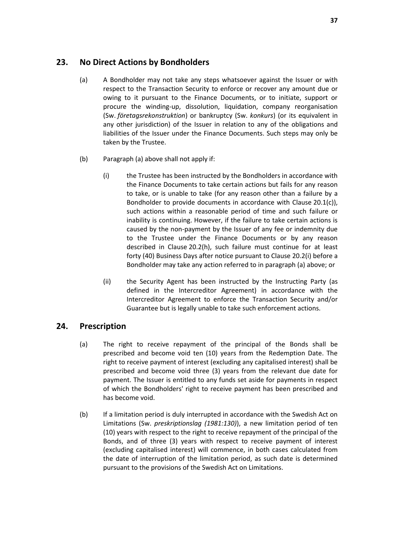# <span id="page-38-0"></span>**23. No Direct Actions by Bondholders**

- (a) A Bondholder may not take any steps whatsoever against the Issuer or with respect to the Transaction Security to enforce or recover any amount due or owing to it pursuant to the Finance Documents, or to initiate, support or procure the winding-up, dissolution, liquidation, company reorganisation (Sw. *företagsrekonstruktion*) or bankruptcy (Sw. *konkurs*) (or its equivalent in any other jurisdiction) of the Issuer in relation to any of the obligations and liabilities of the Issuer under the Finance Documents. Such steps may only be taken by the Trustee.
- (b) Paragraph (a) above shall not apply if:
	- (i) the Trustee has been instructed by the Bondholders in accordance with the Finance Documents to take certain actions but fails for any reason to take, or is unable to take (for any reason other than a failure by a Bondholder to provide documents in accordance with Clause [20.1\(c\)\)](#page-34-1), such actions within a reasonable period of time and such failure or inability is continuing. However, if the failure to take certain actions is caused by the non-payment by the Issuer of any fee or indemnity due to the Trustee under the Finance Documents or by any reason described in Clause [20.2\(h\),](#page-35-0) such failure must continue for at least forty (40) Business Days after notice pursuant to Clause [20.2\(i\)](#page-35-1) before a Bondholder may take any action referred to in paragraph (a) above; or
	- (ii) the Security Agent has been instructed by the Instructing Party (as defined in the Intercreditor Agreement) in accordance with the Intercreditor Agreement to enforce the Transaction Security and/or Guarantee but is legally unable to take such enforcement actions.

# <span id="page-38-1"></span>**24. Prescription**

- (a) The right to receive repayment of the principal of the Bonds shall be prescribed and become void ten (10) years from the Redemption Date. The right to receive payment of interest (excluding any capitalised interest) shall be prescribed and become void three (3) years from the relevant due date for payment. The Issuer is entitled to any funds set aside for payments in respect of which the Bondholders' right to receive payment has been prescribed and has become void.
- (b) If a limitation period is duly interrupted in accordance with the Swedish Act on Limitations (Sw. *preskriptionslag (1981:130)*), a new limitation period of ten (10) years with respect to the right to receive repayment of the principal of the Bonds, and of three (3) years with respect to receive payment of interest (excluding capitalised interest) will commence, in both cases calculated from the date of interruption of the limitation period, as such date is determined pursuant to the provisions of the Swedish Act on Limitations.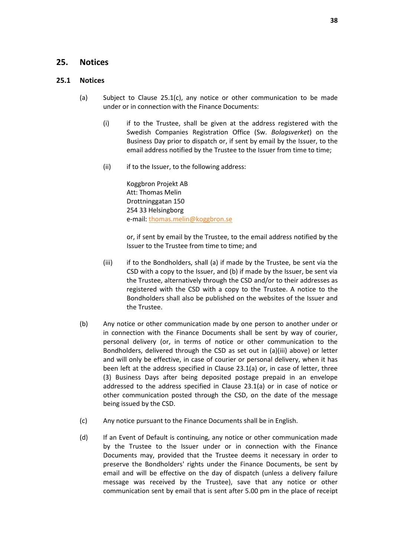### <span id="page-39-0"></span>**25. Notices**

#### <span id="page-39-1"></span>**25.1 Notices**

- (a) Subject to Clause [25.1\(c\),](#page-39-1) any notice or other communication to be made under or in connection with the Finance Documents:
	- (i) if to the Trustee, shall be given at the address registered with the Swedish Companies Registration Office (Sw. *Bolagsverket*) on the Business Day prior to dispatch or, if sent by email by the Issuer, to the email address notified by the Trustee to the Issuer from time to time;
	- (ii) if to the Issuer, to the following address:

Koggbron Projekt AB Att: Thomas Melin Drottninggatan 150 254 33 Helsingborg e-mail[: thomas.melin@koggbron.se](mailto:thomas.melin@koggbron.se)

or, if sent by email by the Trustee, to the email address notified by the Issuer to the Trustee from time to time; and

- (iii) if to the Bondholders, shall (a) if made by the Trustee, be sent via the CSD with a copy to the Issuer, and (b) if made by the Issuer, be sent via the Trustee, alternatively through the CSD and/or to their addresses as registered with the CSD with a copy to the Trustee. A notice to the Bondholders shall also be published on the websites of the Issuer and the Trustee.
- (b) Any notice or other communication made by one person to another under or in connection with the Finance Documents shall be sent by way of courier, personal delivery (or, in terms of notice or other communication to the Bondholders, delivered through the CSD as set out in (a)(iii) above) or letter and will only be effective, in case of courier or personal delivery, when it has been left at the address specified in Clause 23.1(a) or, in case of letter, three (3) Business Days after being deposited postage prepaid in an envelope addressed to the address specified in Clause 23.1(a) or in case of notice or other communication posted through the CSD, on the date of the message being issued by the CSD.
- (c) Any notice pursuant to the Finance Documents shall be in English.
- (d) If an Event of Default is continuing, any notice or other communication made by the Trustee to the Issuer under or in connection with the Finance Documents may, provided that the Trustee deems it necessary in order to preserve the Bondholders' rights under the Finance Documents, be sent by email and will be effective on the day of dispatch (unless a delivery failure message was received by the Trustee), save that any notice or other communication sent by email that is sent after 5.00 pm in the place of receipt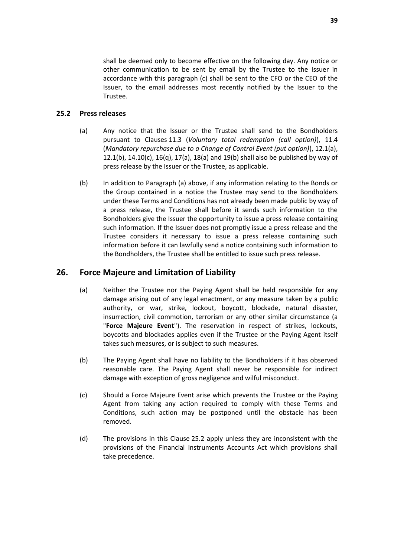shall be deemed only to become effective on the following day. Any notice or other communication to be sent by email by the Trustee to the Issuer in accordance with this paragraph (c) shall be sent to the CFO or the CEO of the Issuer, to the email addresses most recently notified by the Issuer to the Trustee.

#### <span id="page-40-2"></span>**25.2 Press releases**

- (a) Any notice that the Issuer or the Trustee shall send to the Bondholders pursuant to Clauses [11.3](#page-20-2) (*Voluntary total redemption (call option)*), [11.4](#page-20-1) (*Mandatory repurchase due to a Change of Control Event (put option)*), [12.1\(a\),](#page-22-1) [12.1\(b\),](#page-22-4)  $14.10(c)$ ,  $16(q)$ ,  $17(q)$ ,  $18(q)$  and  $19(b)$  shall also be published by way of press release by the Issuer or the Trustee, as applicable.
- (b) In addition to Paragraph (a) above, if any information relating to the Bonds or the Group contained in a notice the Trustee may send to the Bondholders under these Terms and Conditions has not already been made public by way of a press release, the Trustee shall before it sends such information to the Bondholders give the Issuer the opportunity to issue a press release containing such information. If the Issuer does not promptly issue a press release and the Trustee considers it necessary to issue a press release containing such information before it can lawfully send a notice containing such information to the Bondholders, the Trustee shall be entitled to issue such press release.

# <span id="page-40-1"></span><span id="page-40-0"></span>**26. Force Majeure and Limitation of Liability**

- (a) Neither the Trustee nor the Paying Agent shall be held responsible for any damage arising out of any legal enactment, or any measure taken by a public authority, or war, strike, lockout, boycott, blockade, natural disaster, insurrection, civil commotion, terrorism or any other similar circumstance (a "**Force Majeure Event**"). The reservation in respect of strikes, lockouts, boycotts and blockades applies even if the Trustee or the Paying Agent itself takes such measures, or is subject to such measures.
- (b) The Paying Agent shall have no liability to the Bondholders if it has observed reasonable care. The Paying Agent shall never be responsible for indirect damage with exception of gross negligence and wilful misconduct.
- (c) Should a Force Majeure Event arise which prevents the Trustee or the Paying Agent from taking any action required to comply with these Terms and Conditions, such action may be postponed until the obstacle has been removed.
- (d) The provisions in this Clause [25.2](#page-40-2) apply unless they are inconsistent with the provisions of the Financial Instruments Accounts Act which provisions shall take precedence.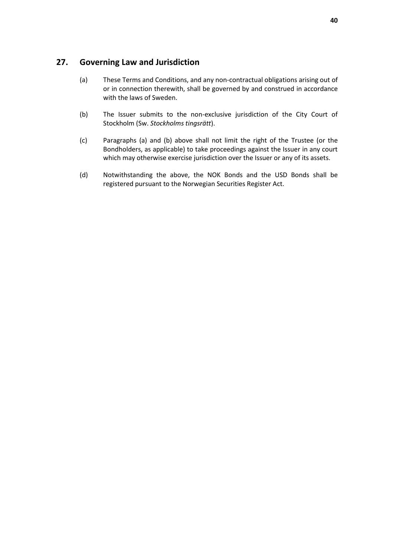# <span id="page-41-0"></span>**27. Governing Law and Jurisdiction**

- (a) These Terms and Conditions, and any non-contractual obligations arising out of or in connection therewith, shall be governed by and construed in accordance with the laws of Sweden.
- (b) The Issuer submits to the non-exclusive jurisdiction of the City Court of Stockholm (Sw. *Stockholms tingsrätt*).
- (c) Paragraphs (a) and (b) above shall not limit the right of the Trustee (or the Bondholders, as applicable) to take proceedings against the Issuer in any court which may otherwise exercise jurisdiction over the Issuer or any of its assets.
- (d) Notwithstanding the above, the NOK Bonds and the USD Bonds shall be registered pursuant to the Norwegian Securities Register Act.